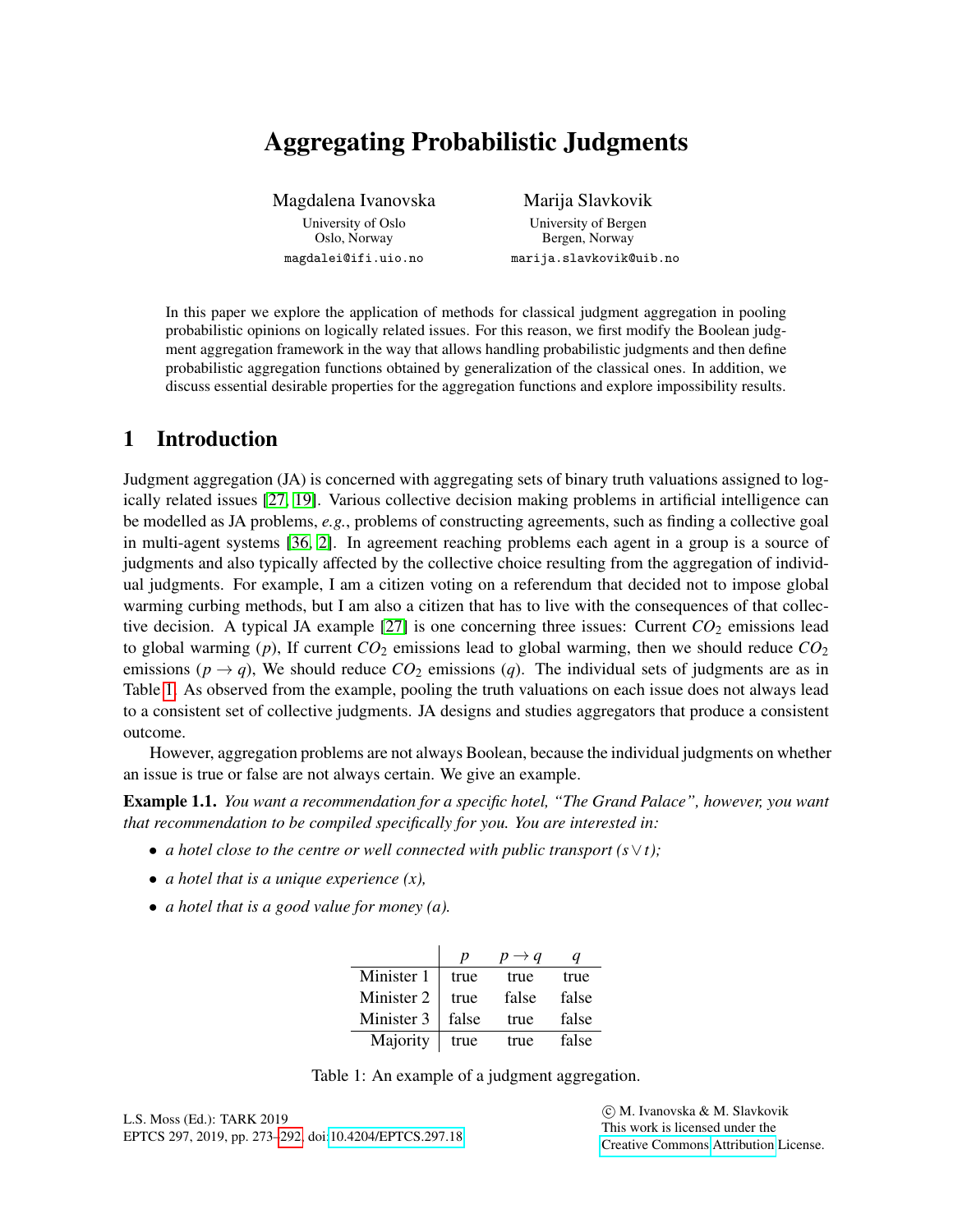# Aggregating Probabilistic Judgments

Magdalena Ivanovska University of Oslo Oslo, Norway magdalei@ifi.uio.no

Marija Slavkovik University of Bergen Bergen, Norway marija.slavkovik@uib.no

In this paper we explore the application of methods for classical judgment aggregation in pooling probabilistic opinions on logically related issues. For this reason, we first modify the Boolean judgment aggregation framework in the way that allows handling probabilistic judgments and then define probabilistic aggregation functions obtained by generalization of the classical ones. In addition, we discuss essential desirable properties for the aggregation functions and explore impossibility results.

# 1 Introduction

Judgment aggregation (JA) is concerned with aggregating sets of binary truth valuations assigned to logically related issues [\[27,](#page-19-1) [19\]](#page-18-0). Various collective decision making problems in artificial intelligence can be modelled as JA problems, *e.g.*, problems of constructing agreements, such as finding a collective goal in multi-agent systems [\[36,](#page-19-2) [2\]](#page-17-0). In agreement reaching problems each agent in a group is a source of judgments and also typically affected by the collective choice resulting from the aggregation of individual judgments. For example, I am a citizen voting on a referendum that decided not to impose global warming curbing methods, but I am also a citizen that has to live with the consequences of that collec-tive decision. A typical JA example [\[27\]](#page-19-1) is one concerning three issues: Current  $CO<sub>2</sub>$  emissions lead to global warming (*p*), If current *CO*<sup>2</sup> emissions lead to global warming, then we should reduce *CO*<sup>2</sup> emissions  $(p \rightarrow q)$ , We should reduce  $CO_2$  emissions  $(q)$ . The individual sets of judgments are as in Table [1.](#page-0-0) As observed from the example, pooling the truth valuations on each issue does not always lead to a consistent set of collective judgments. JA designs and studies aggregators that produce a consistent outcome.

However, aggregation problems are not always Boolean, because the individual judgments on whether an issue is true or false are not always certain. We give an example.

<span id="page-0-1"></span>Example 1.1. *You want a recommendation for a specific hotel, "The Grand Palace", however, you want that recommendation to be compiled specifically for you. You are interested in:*

- *a hotel close to the centre or well connected with public transport (s*∨*t);*
- *a hotel that is a unique experience (x),*
- *a hotel that is a good value for money (a).*

|            | p     | $\rightarrow$ a |       |
|------------|-------|-----------------|-------|
| Minister 1 | true  | true            | true  |
| Minister 2 | true  | false           | false |
| Minister 3 | false | true            | false |
| Majority   | true  | true            | false |

<span id="page-0-0"></span>

 c M. Ivanovska & M. Slavkovik This work is licensed under the [Creative Commons](http://creativecommons.org) [Attribution](http://creativecommons.org/licenses/by/3.0/) License.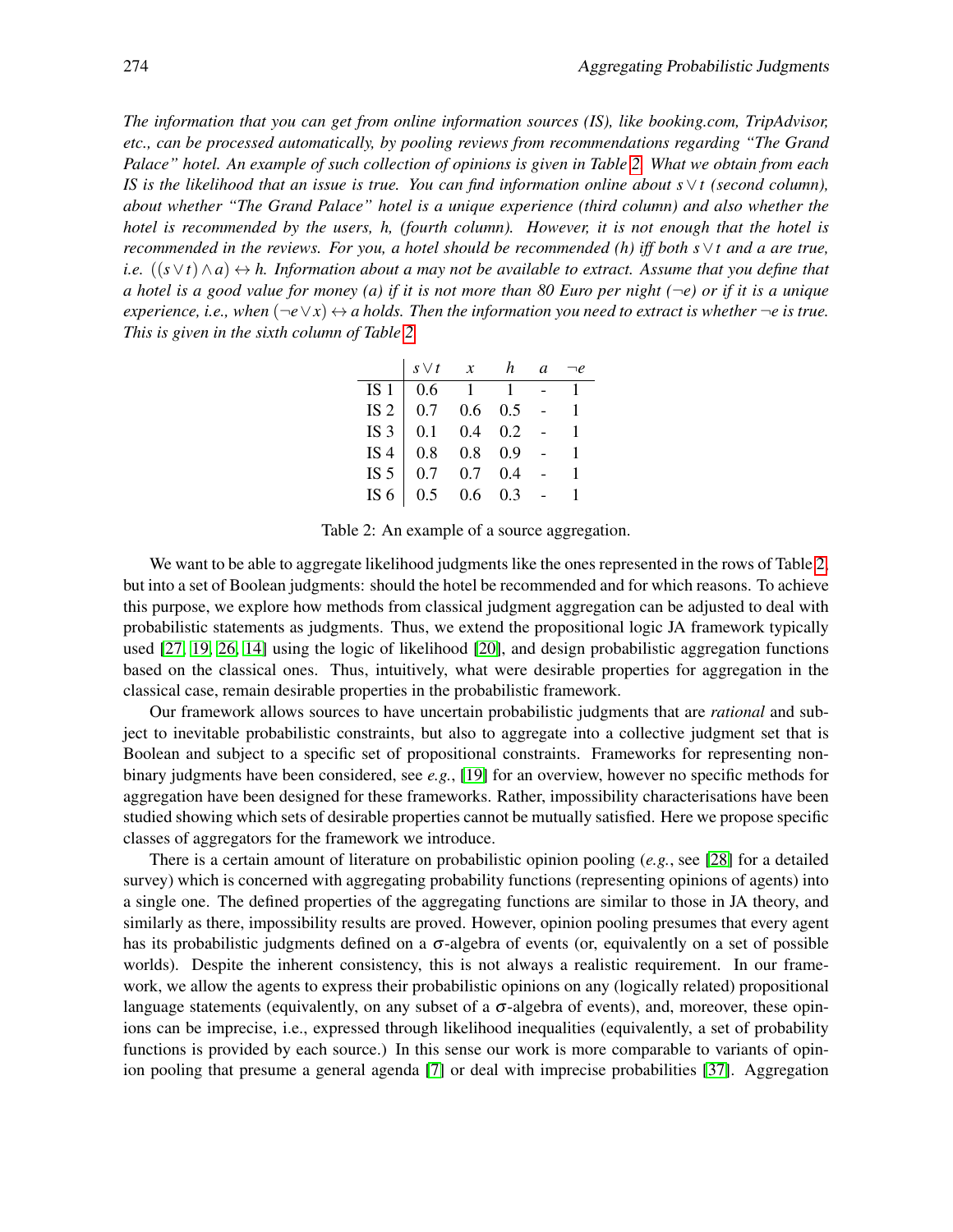*The information that you can get from online information sources (IS), like booking.com, TripAdvisor, etc., can be processed automatically, by pooling reviews from recommendations regarding "The Grand Palace" hotel. An example of such collection of opinions is given in Table [2.](#page-1-0) What we obtain from each IS is the likelihood that an issue is true. You can find information online about s*∨*t (second column), about whether "The Grand Palace" hotel is a unique experience (third column) and also whether the hotel is recommended by the users, h, (fourth column). However, it is not enough that the hotel is recommended in the reviews. For you, a hotel should be recommended (h) iff both s*∨*t and a are true, i.e.* ((*s*∨*t*)∧*a*) ↔ *h. Information about a may not be available to extract. Assume that you define that a hotel is a good value for money (a) if it is not more than 80 Euro per night (*¬*e) or if it is a unique experience, i.e., when*  $(\neg e \lor x) \leftrightarrow a$  *holds. Then the information you need to extract is whether*  $\neg e$  *is true. This is given in the sixth column of Table [2.](#page-1-0)*

|                 | $s \vee t$ | $\boldsymbol{\chi}$ | h   | a |   |
|-----------------|------------|---------------------|-----|---|---|
| IS <sub>1</sub> | 0.6        | -1                  |     |   |   |
| IS <sub>2</sub> | 0.7        | 0.6                 | 0.5 |   |   |
| IS <sub>3</sub> | 0.1        | 0.4                 | 0.2 |   | 1 |
| IS <sub>4</sub> | 0.8        | 0.8                 | 0.9 |   |   |
| IS <sub>5</sub> | 0.7        | 0.7                 | 0.4 |   |   |
| IS $6$          | 0.5        | 0.6                 | 0.3 |   |   |

<span id="page-1-0"></span>Table 2: An example of a source aggregation.

We want to be able to aggregate likelihood judgments like the ones represented in the rows of Table [2,](#page-1-0) but into a set of Boolean judgments: should the hotel be recommended and for which reasons. To achieve this purpose, we explore how methods from classical judgment aggregation can be adjusted to deal with probabilistic statements as judgments. Thus, we extend the propositional logic JA framework typically used [\[27,](#page-19-1) [19,](#page-18-0) [26,](#page-19-3) [14\]](#page-18-1) using the logic of likelihood [\[20\]](#page-18-2), and design probabilistic aggregation functions based on the classical ones. Thus, intuitively, what were desirable properties for aggregation in the classical case, remain desirable properties in the probabilistic framework.

Our framework allows sources to have uncertain probabilistic judgments that are *rational* and subject to inevitable probabilistic constraints, but also to aggregate into a collective judgment set that is Boolean and subject to a specific set of propositional constraints. Frameworks for representing nonbinary judgments have been considered, see *e.g.*, [\[19\]](#page-18-0) for an overview, however no specific methods for aggregation have been designed for these frameworks. Rather, impossibility characterisations have been studied showing which sets of desirable properties cannot be mutually satisfied. Here we propose specific classes of aggregators for the framework we introduce.

There is a certain amount of literature on probabilistic opinion pooling (*e.g.*, see [\[28\]](#page-19-4) for a detailed survey) which is concerned with aggregating probability functions (representing opinions of agents) into a single one. The defined properties of the aggregating functions are similar to those in JA theory, and similarly as there, impossibility results are proved. However, opinion pooling presumes that every agent has its probabilistic judgments defined on a  $\sigma$ -algebra of events (or, equivalently on a set of possible worlds). Despite the inherent consistency, this is not always a realistic requirement. In our framework, we allow the agents to express their probabilistic opinions on any (logically related) propositional language statements (equivalently, on any subset of a  $\sigma$ -algebra of events), and, moreover, these opinions can be imprecise, i.e., expressed through likelihood inequalities (equivalently, a set of probability functions is provided by each source.) In this sense our work is more comparable to variants of opinion pooling that presume a general agenda [\[7\]](#page-18-3) or deal with imprecise probabilities [\[37\]](#page-19-5). Aggregation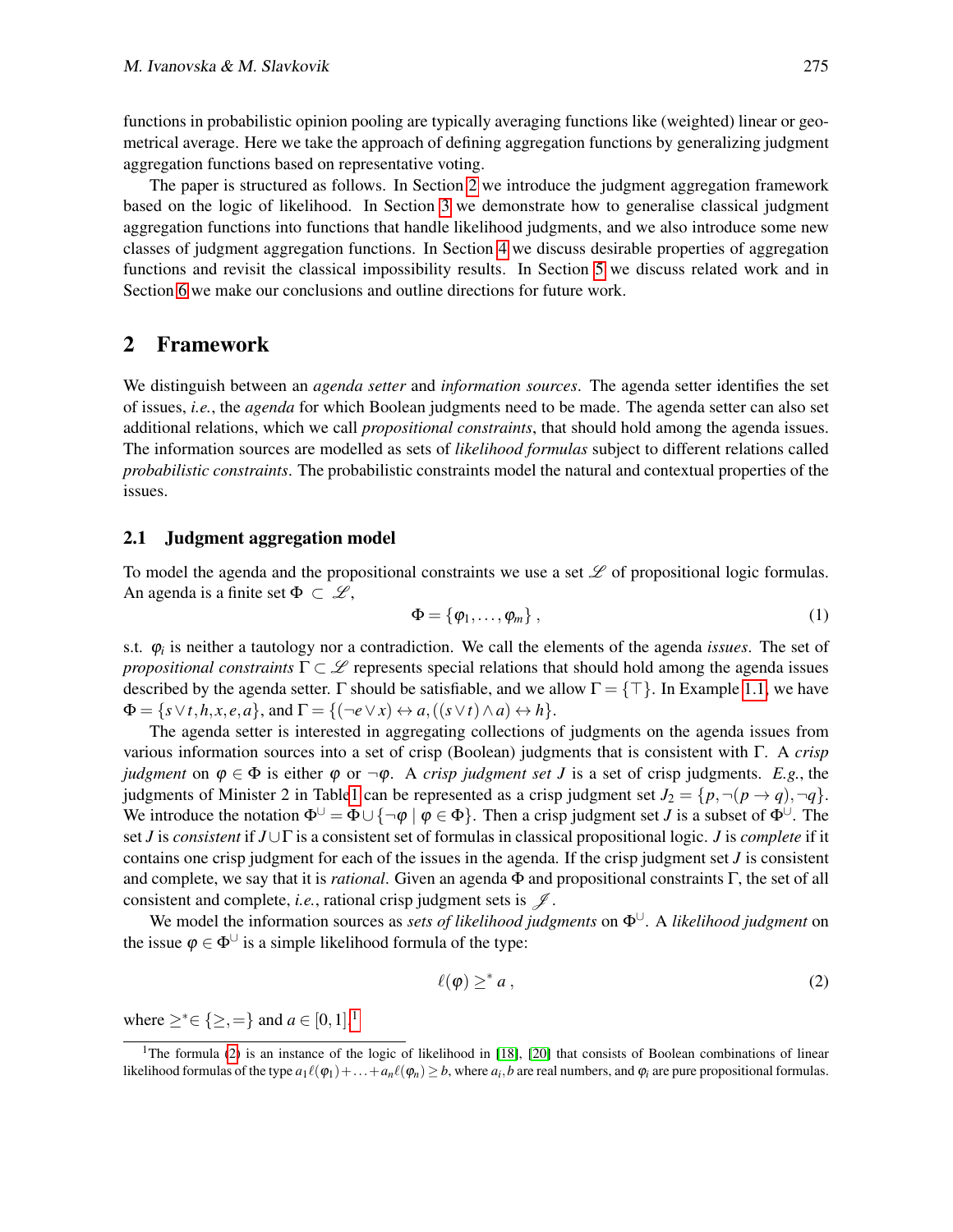functions in probabilistic opinion pooling are typically averaging functions like (weighted) linear or geometrical average. Here we take the approach of defining aggregation functions by generalizing judgment aggregation functions based on representative voting.

The paper is structured as follows. In Section [2](#page-2-0) we introduce the judgment aggregation framework based on the logic of likelihood. In Section [3](#page-5-0) we demonstrate how to generalise classical judgment aggregation functions into functions that handle likelihood judgments, and we also introduce some new classes of judgment aggregation functions. In Section [4](#page-13-0) we discuss desirable properties of aggregation functions and revisit the classical impossibility results. In Section [5](#page-15-0) we discuss related work and in Section [6](#page-16-0) we make our conclusions and outline directions for future work.

# <span id="page-2-0"></span>2 Framework

We distinguish between an *agenda setter* and *information sources*. The agenda setter identifies the set of issues, *i.e.*, the *agenda* for which Boolean judgments need to be made. The agenda setter can also set additional relations, which we call *propositional constraints*, that should hold among the agenda issues. The information sources are modelled as sets of *likelihood formulas* subject to different relations called *probabilistic constraints*. The probabilistic constraints model the natural and contextual properties of the issues.

### 2.1 Judgment aggregation model

To model the agenda and the propositional constraints we use a set  $\mathscr L$  of propositional logic formulas. An agenda is a finite set  $\Phi \subset \mathcal{L}$ ,

$$
\Phi = \{\varphi_1, \ldots, \varphi_m\},\tag{1}
$$

s.t. ϕ*<sup>i</sup>* is neither a tautology nor a contradiction. We call the elements of the agenda *issues*. The set of *propositional constraints*  $\Gamma \subset \mathcal{L}$  represents special relations that should hold among the agenda issues described by the agenda setter. Γ should be satisfiable, and we allow  $\Gamma = \{\top\}$ . In Example [1.1,](#page-0-1) we have  $\Phi = \{s \vee t, h, x, e, a\},\$  and  $\Gamma = \{(\neg e \vee x) \leftrightarrow a, ((s \vee t) \wedge a) \leftrightarrow h\}.$ 

The agenda setter is interested in aggregating collections of judgments on the agenda issues from various information sources into a set of crisp (Boolean) judgments that is consistent with Γ. A *crisp judgment* on  $\varphi \in \Phi$  is either  $\varphi$  or  $\neg \varphi$ . A *crisp judgment set J* is a set of crisp judgments. *E.g.*, the judgments of Minister 2 in Tabl[e1](#page-0-0) can be represented as a crisp judgment set  $J_2 = \{p, \neg(p \rightarrow q), \neg q\}.$ We introduce the notation  $\Phi^{\cup} = \Phi \cup \{\neg \varphi \mid \varphi \in \Phi\}$ . Then a crisp judgment set *J* is a subset of  $\Phi^{\cup}$ . The set *J* is *consistent* if *J*∪Γ is a consistent set of formulas in classical propositional logic. *J* is *complete* if it contains one crisp judgment for each of the issues in the agenda. If the crisp judgment set *J* is consistent and complete, we say that it is *rational*. Given an agenda Φ and propositional constraints Γ, the set of all consistent and complete, *i.e.*, rational crisp judgment sets is  $\mathcal{J}$ .

We model the information sources as *sets of likelihood judgments* on Φ∪. A *likelihood judgment* on the issue  $\varphi \in \Phi^{\cup}$  is a simple likelihood formula of the type:

<span id="page-2-2"></span>
$$
\ell(\varphi) \geq^* a \,, \tag{2}
$$

where  $\ge^* \in \{ \ge, = \}$  and  $a \in [0, 1].^1$  $a \in [0, 1].^1$  $a \in [0, 1].^1$ 

<span id="page-2-1"></span><sup>&</sup>lt;sup>1</sup>The formula [\(2\)](#page-2-2) is an instance of the logic of likelihood in [\[18\]](#page-18-4), [\[20\]](#page-18-2) that consists of Boolean combinations of linear likelihood formulas of the type  $a_1\ell(\varphi_1)+\ldots+a_n\ell(\varphi_n)\geq b$ , where  $a_i,b$  are real numbers, and  $\varphi_i$  are pure propositional formulas.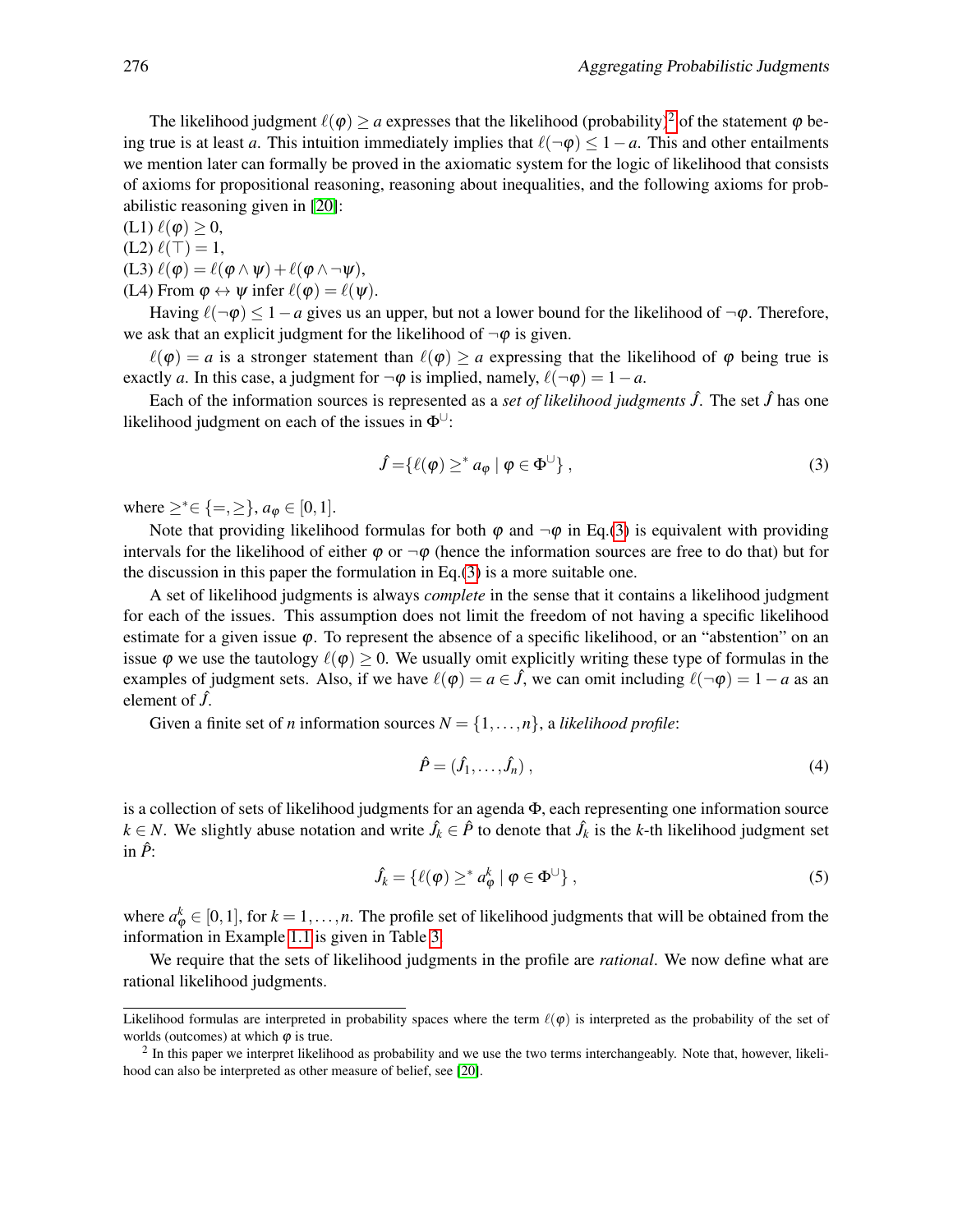The likelihood judgment  $\ell(\varphi) > a$  expresses that the likelihood (probability)<sup>[2](#page-3-0)</sup> of the statement  $\varphi$  being true is at least *a*. This intuition immediately implies that  $\ell(\neg \phi) \leq 1-a$ . This and other entailments we mention later can formally be proved in the axiomatic system for the logic of likelihood that consists of axioms for propositional reasoning, reasoning about inequalities, and the following axioms for probabilistic reasoning given in [\[20\]](#page-18-2):

(L1)  $\ell(\varphi) \geq 0$ ,  $\sim$  0)

$$
(L2)\,\ell(\perp)=1,
$$

- (L3)  $\ell(\varphi) = \ell(\varphi \wedge \psi) + \ell(\varphi \wedge \neg \psi),$
- (L4) From  $\varphi \leftrightarrow \psi$  infer  $\ell(\varphi) = \ell(\psi)$ .

Having  $\ell(\neg\phi) \leq 1-a$  gives us an upper, but not a lower bound for the likelihood of  $\neg\phi$ . Therefore, we ask that an explicit judgment for the likelihood of  $\neg \varphi$  is given.

 $\ell(\varphi) = a$  is a stronger statement than  $\ell(\varphi) \ge a$  expressing that the likelihood of  $\varphi$  being true is exactly *a*. In this case, a judgment for  $\neg \varphi$  is implied, namely,  $\ell(\neg \varphi) = 1 - a$ .

Each of the information sources is represented as a *set of likelihood judgments*  $\hat{J}$ . The set  $\hat{J}$  has one likelihood judgment on each of the issues in  $\Phi^{\cup}$ :

<span id="page-3-1"></span>
$$
\hat{J} = \{ \ell(\varphi) \geq^* a_{\varphi} \mid \varphi \in \Phi^{\cup} \}, \tag{3}
$$

where  $\geq^* \in \{ =, \geq \}, a_{\varphi} \in [0, 1].$ 

Note that providing likelihood formulas for both  $\varphi$  and  $\neg \varphi$  in Eq.[\(3\)](#page-3-1) is equivalent with providing intervals for the likelihood of either  $\varphi$  or  $\neg \varphi$  (hence the information sources are free to do that) but for the discussion in this paper the formulation in Eq.[\(3\)](#page-3-1) is a more suitable one.

A set of likelihood judgments is always *complete* in the sense that it contains a likelihood judgment for each of the issues. This assumption does not limit the freedom of not having a specific likelihood estimate for a given issue  $\varphi$ . To represent the absence of a specific likelihood, or an "abstention" on an issue  $\varphi$  we use the tautology  $\ell(\varphi) \geq 0$ . We usually omit explicitly writing these type of formulas in the examples of judgment sets. Also, if we have  $\ell(\varphi) = a \in \hat{J}$ , we can omit including  $\ell(\neg \varphi) = 1 - a$  as an element of *J*ˆ.

Given a finite set of *n* information sources  $N = \{1, ..., n\}$ , a *likelihood profile*:

$$
\hat{P} = (\hat{J}_1, \dots, \hat{J}_n) \tag{4}
$$

is a collection of sets of likelihood judgments for an agenda  $\Phi$ , each representing one information source  $k \in N$ . We slightly abuse notation and write  $\hat{J}_k \in \hat{P}$  to denote that  $\hat{J}_k$  is the *k*-th likelihood judgment set in  $\hat{P}$ :

$$
\hat{J}_k = \{ \ell(\varphi) \geq^* a_\varphi^k \mid \varphi \in \Phi^\cup \}, \tag{5}
$$

where  $a_{\varphi}^k \in [0,1]$ , for  $k = 1, \ldots, n$ . The profile set of likelihood judgments that will be obtained from the information in Example [1.1](#page-0-1) is given in Table [3.](#page-4-0)

We require that the sets of likelihood judgments in the profile are *rational*. We now define what are rational likelihood judgments.

Likelihood formulas are interpreted in probability spaces where the term  $\ell(\varphi)$  is interpreted as the probability of the set of worlds (outcomes) at which  $\varphi$  is true.

<span id="page-3-0"></span> $<sup>2</sup>$  In this paper we interpret likelihood as probability and we use the two terms interchangeably. Note that, however, likeli-</sup> hood can also be interpreted as other measure of belief, see [\[20\]](#page-18-2).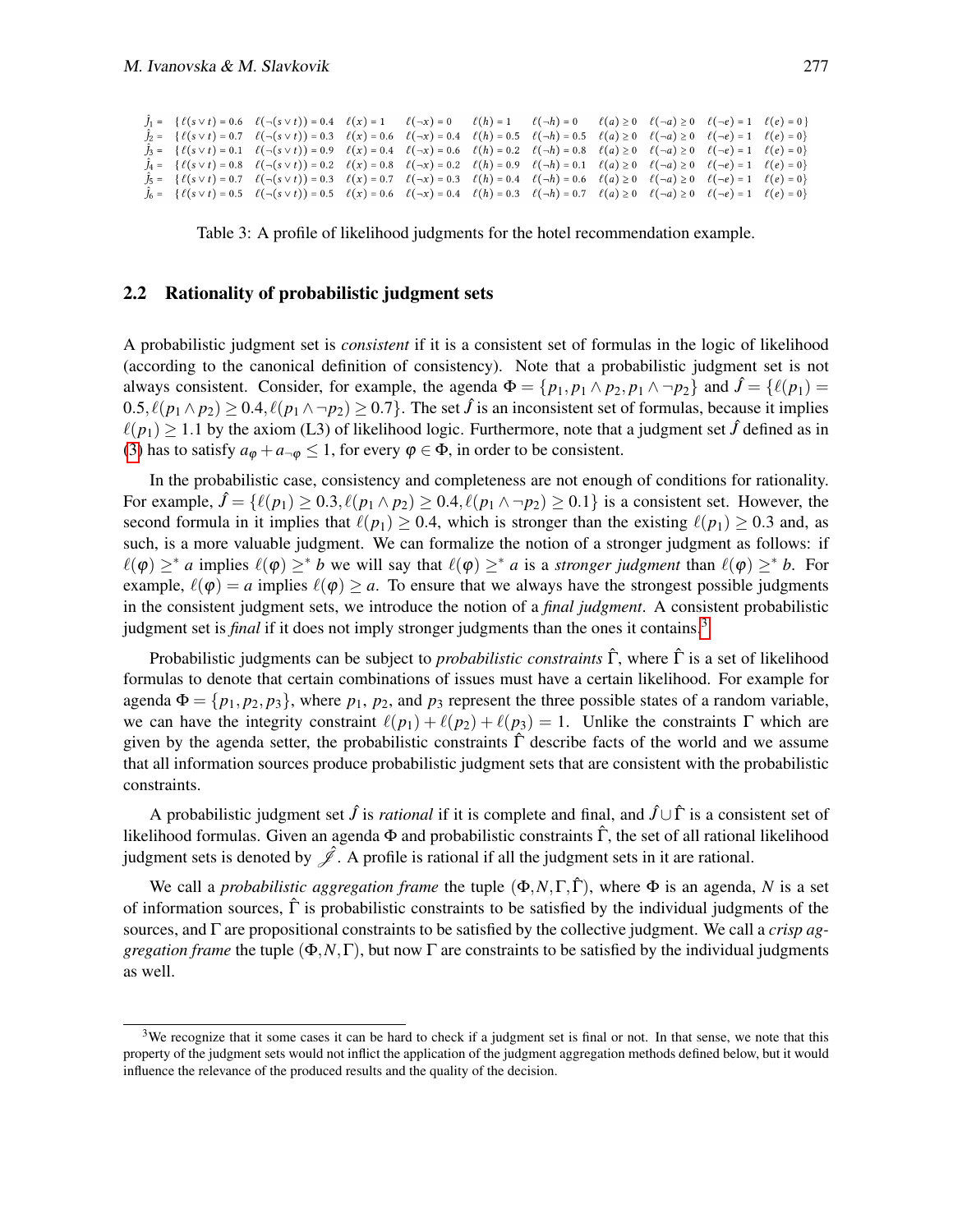|  | $f_1 = \{ \ell(s \vee t) = 0.6 \quad \ell(\neg(s \vee t)) = 0.4 \quad \ell(x) = 1 \quad \ell(\neg x) = 0 \quad \ell(h) = 1 \quad \ell(\neg h) = 0 \quad \ell(a) \ge 0 \quad \ell(\neg a) \ge 0 \quad \ell(\neg e) = 1 \quad \ell(e) = 0 \}$         |  |  |  |  |
|--|-----------------------------------------------------------------------------------------------------------------------------------------------------------------------------------------------------------------------------------------------------|--|--|--|--|
|  | $J_2 = \{ \ell(s \vee t) = 0.7 \mid \ell(\neg(s \vee t)) = 0.3 \mid \ell(x) = 0.6 \mid \ell(\neg x) = 0.4 \mid \ell(h) = 0.5 \mid \ell(\neg h) = 0.5 \mid \ell(a) \ge 0 \mid \ell(\neg a) \ge 0 \mid \ell(\neg e) = 1 \mid \ell(e) = 0 \}$          |  |  |  |  |
|  | $J_3 = \{ \ell(s \vee t) = 0.1 \quad \ell(\neg(s \vee t)) = 0.9 \quad \ell(x) = 0.4 \quad \ell(\neg x) = 0.6 \quad \ell(h) = 0.2 \quad \ell(\neg h) = 0.8 \quad \ell(a) \ge 0 \quad \ell(\neg a) \ge 0 \quad \ell(\neg e) = 1 \quad \ell(e) = 0 \}$ |  |  |  |  |
|  | $f_4 = \{ \ell(s \vee t) = 0.8 \}$ $\ell(\neg(s \vee t)) = 0.2 \}$ $\ell(x) = 0.8 \}$ $\ell(\neg x) = 0.2 \}$ $\ell(h) = 0.9 \}$ $\ell(\neg h) = 0.1 \}$ $\ell(a) \ge 0 \}$ $\ell(\neg a) \ge 0 \}$ $\ell(\neg e) = 1 \}$ $\ell(e) = 0$             |  |  |  |  |
|  | $J_5 = \{ \ell(s \vee t) = 0.7 \mid \ell(\neg(s \vee t)) = 0.3 \mid \ell(x) = 0.7 \mid \ell(\neg x) = 0.3 \mid \ell(h) = 0.4 \mid \ell(\neg h) = 0.6 \mid \ell(a) \ge 0 \mid \ell(\neg a) \ge 0 \mid \ell(\neg e) = 1 \mid \ell(e) = 0 \}$          |  |  |  |  |
|  | $J_6 = \{ \ell(s \vee t) = 0.5 \mid \ell(\neg(s \vee t)) = 0.5 \mid \ell(x) = 0.6 \mid \ell(\neg x) = 0.4 \mid \ell(h) = 0.3 \mid \ell(\neg h) = 0.7 \mid \ell(a) \ge 0 \mid \ell(\neg a) \ge 0 \mid \ell(\neg e) = 1 \mid \ell(e) = 0 \}$          |  |  |  |  |

<span id="page-4-0"></span>Table 3: A profile of likelihood judgments for the hotel recommendation example.

#### 2.2 Rationality of probabilistic judgment sets

A probabilistic judgment set is *consistent* if it is a consistent set of formulas in the logic of likelihood (according to the canonical definition of consistency). Note that a probabilistic judgment set is not always consistent. Consider, for example, the agenda  $\Phi = \{p_1, p_1 \wedge p_2, p_1 \wedge \neg p_2\}$  and  $\hat{J} = \{l(p_1) =$  $0.5, \ell(p_1 \wedge p_2) \ge 0.4, \ell(p_1 \wedge \neg p_2) \ge 0.7$ . The set  $\hat{J}$  is an inconsistent set of formulas, because it implies  $\ell(p_1) \ge 1.1$  by the axiom (L3) of likelihood logic. Furthermore, note that a judgment set  $\hat{J}$  defined as in [\(3\)](#page-3-1) has to satisfy  $a_{\varphi} + a_{-\varphi} \leq 1$ , for every  $\varphi \in \Phi$ , in order to be consistent.

In the probabilistic case, consistency and completeness are not enough of conditions for rationality. For example,  $\hat{J} = \{ \ell(p_1) \geq 0.3, \ell(p_1 \wedge p_2) \geq 0.4, \ell(p_1 \wedge \neg p_2) \geq 0.1 \}$  is a consistent set. However, the second formula in it implies that  $\ell(p_1) \ge 0.4$ , which is stronger than the existing  $\ell(p_1) \ge 0.3$  and, as such, is a more valuable judgment. We can formalize the notion of a stronger judgment as follows: if  $\ell(\varphi) \geq^* a$  implies  $\ell(\varphi) \geq^* b$  we will say that  $\ell(\varphi) \geq^* a$  is a *stronger judgment* than  $\ell(\varphi) \geq^* b$ . For example,  $\ell(\varphi) = a$  implies  $\ell(\varphi) \ge a$ . To ensure that we always have the strongest possible judgments in the consistent judgment sets, we introduce the notion of a *final judgment*. A consistent probabilistic judgment set is *final* if it does not imply stronger judgments than the ones it contains.[3](#page-4-1)

Probabilistic judgments can be subject to *probabilistic constraints* Γˆ, where Γˆ is a set of likelihood formulas to denote that certain combinations of issues must have a certain likelihood. For example for agenda  $\Phi = \{p_1, p_2, p_3\}$ , where  $p_1, p_2$ , and  $p_3$  represent the three possible states of a random variable, we can have the integrity constraint  $\ell(p_1) + \ell(p_2) + \ell(p_3) = 1$ . Unlike the constraints Γ which are given by the agenda setter, the probabilistic constraints  $\hat{\Gamma}$  describe facts of the world and we assume that all information sources produce probabilistic judgment sets that are consistent with the probabilistic constraints.

A probabilistic judgment set  $\hat{J}$  is *rational* if it is complete and final, and  $\hat{J} \cup \hat{\Gamma}$  is a consistent set of likelihood formulas. Given an agenda  $\Phi$  and probabilistic constraints  $\hat{\Gamma}$ , the set of all rational likelihood judgment sets is denoted by  $\hat{\mathscr{L}}$ . A profile is rational if all the judgment sets in it are rational.

We call a *probabilistic aggregation frame* the tuple (Φ,*N*,Γ,Γˆ), where Φ is an agenda, *N* is a set of information sources,  $\hat{\Gamma}$  is probabilistic constraints to be satisfied by the individual judgments of the sources, and Γ are propositional constraints to be satisfied by the collective judgment. We call a *crisp aggregation frame* the tuple  $(\Phi, N, \Gamma)$ , but now  $\Gamma$  are constraints to be satisfied by the individual judgments as well.

<span id="page-4-1"></span><sup>&</sup>lt;sup>3</sup>We recognize that it some cases it can be hard to check if a judgment set is final or not. In that sense, we note that this property of the judgment sets would not inflict the application of the judgment aggregation methods defined below, but it would influence the relevance of the produced results and the quality of the decision.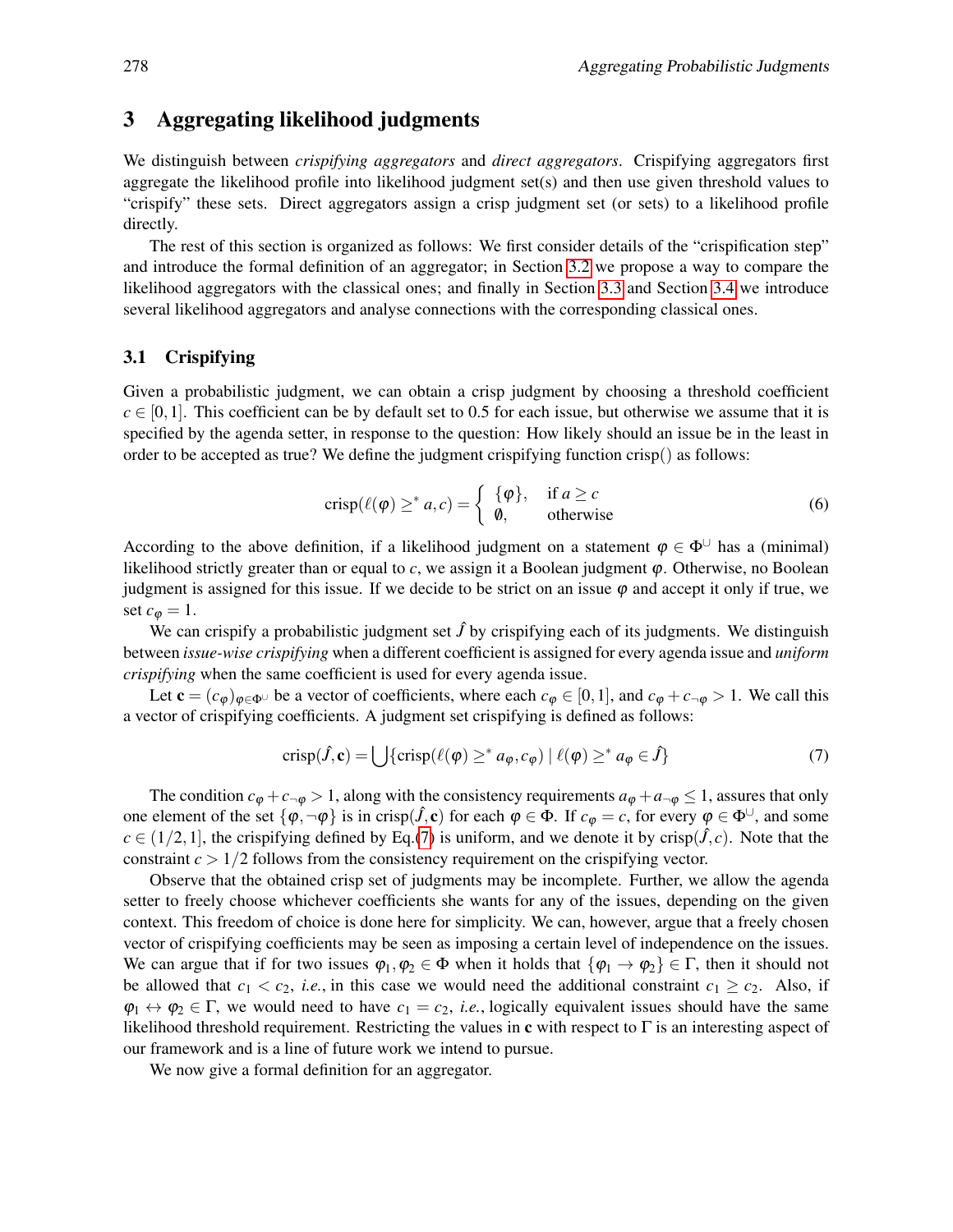## <span id="page-5-0"></span>3 Aggregating likelihood judgments

We distinguish between *crispifying aggregators* and *direct aggregators*. Crispifying aggregators first aggregate the likelihood profile into likelihood judgment set(s) and then use given threshold values to "crispify" these sets. Direct aggregators assign a crisp judgment set (or sets) to a likelihood profile directly.

The rest of this section is organized as follows: We first consider details of the "crispification step" and introduce the formal definition of an aggregator; in Section [3.2](#page-6-0) we propose a way to compare the likelihood aggregators with the classical ones; and finally in Section [3.3](#page-6-1) and Section [3.4](#page-8-0) we introduce several likelihood aggregators and analyse connections with the corresponding classical ones.

#### 3.1 Crispifying

Given a probabilistic judgment, we can obtain a crisp judgment by choosing a threshold coefficient  $c \in [0,1]$ . This coefficient can be by default set to 0.5 for each issue, but otherwise we assume that it is specified by the agenda setter, in response to the question: How likely should an issue be in the least in order to be accepted as true? We define the judgment crispifying function crisp() as follows:

$$
crisp(\ell(\varphi) \geq^* a, c) = \begin{cases} \{\varphi\}, & \text{if } a \geq c \\ \varnothing, & \text{otherwise} \end{cases}
$$
 (6)

According to the above definition, if a likelihood judgment on a statement  $\varphi \in \Phi^{\cup}$  has a (minimal) likelihood strictly greater than or equal to *c*, we assign it a Boolean judgment ϕ. Otherwise, no Boolean judgment is assigned for this issue. If we decide to be strict on an issue  $\varphi$  and accept it only if true, we set  $c_{\varphi} = 1$ .

We can crispify a probabilistic judgment set  $\hat{J}$  by crispifying each of its judgments. We distinguish between *issue-wise crispifying* when a different coefficient is assigned for every agenda issue and *uniform crispifying* when the same coefficient is used for every agenda issue.

Let  $\mathbf{c} = (c_{\varphi})_{\varphi \in \Phi^{\cup}}$  be a vector of coefficients, where each  $c_{\varphi} \in [0,1]$ , and  $c_{\varphi} + c_{\neg \varphi} > 1$ . We call this a vector of crispifying coefficients. A judgment set crispifying is defined as follows:

<span id="page-5-1"></span>
$$
crisp(\hat{J}, \mathbf{c}) = \bigcup \{crisp(\ell(\varphi) \geq^* a_{\varphi}, c_{\varphi}) \mid \ell(\varphi) \geq^* a_{\varphi} \in \hat{J}\}\tag{7}
$$

The condition  $c_{\phi} + c_{\neg \phi} > 1$ , along with the consistency requirements  $a_{\phi} + a_{\neg \phi} \le 1$ , assures that only one element of the set  $\{\varphi, \neg \varphi\}$  is in crisp( $\hat{J}, c$ ) for each  $\varphi \in \Phi$ . If  $c_{\varphi} = c$ , for every  $\varphi \in \Phi^{\cup}$ , and some  $c \in (1/2, 1]$ , the crispifying defined by Eq.[\(7\)](#page-5-1) is uniform, and we denote it by crisp( $\hat{J}, c$ ). Note that the constraint  $c > 1/2$  follows from the consistency requirement on the crispifying vector.

Observe that the obtained crisp set of judgments may be incomplete. Further, we allow the agenda setter to freely choose whichever coefficients she wants for any of the issues, depending on the given context. This freedom of choice is done here for simplicity. We can, however, argue that a freely chosen vector of crispifying coefficients may be seen as imposing a certain level of independence on the issues. We can argue that if for two issues  $\varphi_1, \varphi_2 \in \Phi$  when it holds that  $\{\varphi_1 \to \varphi_2\} \in \Gamma$ , then it should not be allowed that  $c_1 < c_2$ , *i.e.*, in this case we would need the additional constraint  $c_1 \geq c_2$ . Also, if  $\varphi_1 \leftrightarrow \varphi_2 \in \Gamma$ , we would need to have  $c_1 = c_2$ , *i.e.*, logically equivalent issues should have the same likelihood threshold requirement. Restricting the values in c with respect to  $\Gamma$  is an interesting aspect of our framework and is a line of future work we intend to pursue.

We now give a formal definition for an aggregator.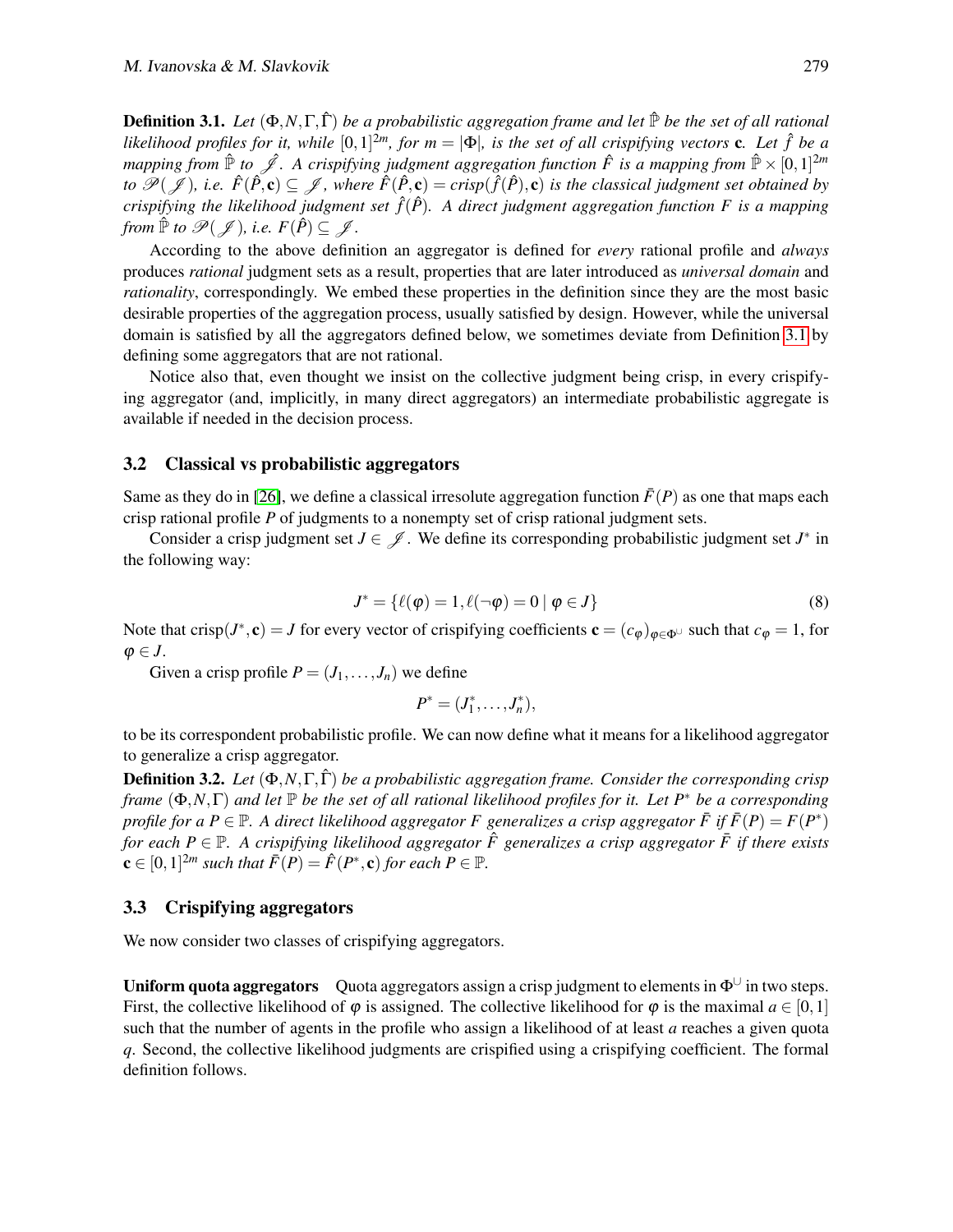<span id="page-6-2"></span>**Definition 3.1.** *Let*  $(\Phi, N, \Gamma, \hat{\Gamma})$  *be a probabilistic aggregation frame and let*  $\hat{\mathbb{P}}$  *be the set of all rational likelihood profiles for it, while*  $[0,1]^{2m}$ *, for m* =  $|\Phi|$ *, is the set of all crispifying vectors* **c***. Let*  $\hat{f}$  *be a mapping from*  $\hat{\mathbb{P}}$  to  $\hat{\mathscr{J}}$ . A crispifying judgment aggregation function  $\hat{F}$  is a mapping from  $\hat{\mathbb{P}} \times [0,1]^{2m}$ *to*  $\mathscr{P}(\mathscr{J})$ , i.e.  $\hat{F}(\hat{P}, \mathbf{c}) \subseteq \mathscr{J}$ , where  $\hat{F}(\hat{P}, \mathbf{c}) = c$ risp $(\hat{f}(\hat{P}), \mathbf{c})$  is the classical judgment set obtained by *crispifying the likelihood judgment set*  $\hat{f}(\hat{P})$ *. A direct judgment aggregation function F is a mapping from*  $\mathbb{P}$  *to*  $\mathscr{P}(\mathscr{J})$ *, i.e.*  $F(\hat{P}) \subseteq \mathscr{J}$ *.* 

According to the above definition an aggregator is defined for *every* rational profile and *always* produces *rational* judgment sets as a result, properties that are later introduced as *universal domain* and *rationality*, correspondingly. We embed these properties in the definition since they are the most basic desirable properties of the aggregation process, usually satisfied by design. However, while the universal domain is satisfied by all the aggregators defined below, we sometimes deviate from Definition [3.1](#page-6-2) by defining some aggregators that are not rational.

Notice also that, even thought we insist on the collective judgment being crisp, in every crispifying aggregator (and, implicitly, in many direct aggregators) an intermediate probabilistic aggregate is available if needed in the decision process.

#### <span id="page-6-0"></span>3.2 Classical vs probabilistic aggregators

Same as they do in [\[26\]](#page-19-3), we define a classical irresolute aggregation function  $\bar{F}(P)$  as one that maps each crisp rational profile *P* of judgments to a nonempty set of crisp rational judgment sets.

Consider a crisp judgment set  $J \in \mathscr{J}$ . We define its corresponding probabilistic judgment set  $J^*$  in the following way:

$$
J^* = \{ \ell(\varphi) = 1, \ell(\neg \varphi) = 0 \mid \varphi \in J \}
$$
 (8)

Note that crisp( $J^*$ , c) = *J* for every vector of crispifying coefficients  $\mathbf{c} = (c_{\varphi})_{\varphi \in \Phi^{\cup}}$  such that  $c_{\varphi} = 1$ , for  $\varphi \in J$ .

Given a crisp profile  $P = (J_1, \ldots, J_n)$  we define

$$
P^*=(J_1^*,\ldots,J_n^*),
$$

to be its correspondent probabilistic profile. We can now define what it means for a likelihood aggregator to generalize a crisp aggregator.

Definition 3.2. *Let* (Φ,*N*,Γ,Γˆ) *be a probabilistic aggregation frame. Consider the corresponding crisp frame* (Φ,*N*,Γ) *and let* P *be the set of all rational likelihood profiles for it. Let P*<sup>∗</sup> *be a corresponding profile for a P*  $\in$  P. A direct likelihood aggregator *F* generalizes a crisp aggregator  $\bar{F}$  if  $\bar{F}(P) = F(P^*)$ *for each*  $P \in \mathbb{P}$ . A crispifying likelihood aggregator  $\hat{F}$  generalizes a crisp aggregator  $\bar{F}$  if there exists  $\mathbf{c} \in [0,1]^{2m}$  such that  $\bar{F}(P) = \hat{F}(P^*, \mathbf{c})$  for each  $P \in \mathbb{P}$ .

#### <span id="page-6-1"></span>3.3 Crispifying aggregators

We now consider two classes of crispifying aggregators.

**Uniform quota aggregators** Quota aggregators assign a crisp judgment to elements in  $\Phi^{\cup}$  in two steps. First, the collective likelihood of  $\varphi$  is assigned. The collective likelihood for  $\varphi$  is the maximal  $a \in [0,1]$ such that the number of agents in the profile who assign a likelihood of at least *a* reaches a given quota *q*. Second, the collective likelihood judgments are crispified using a crispifying coefficient. The formal definition follows.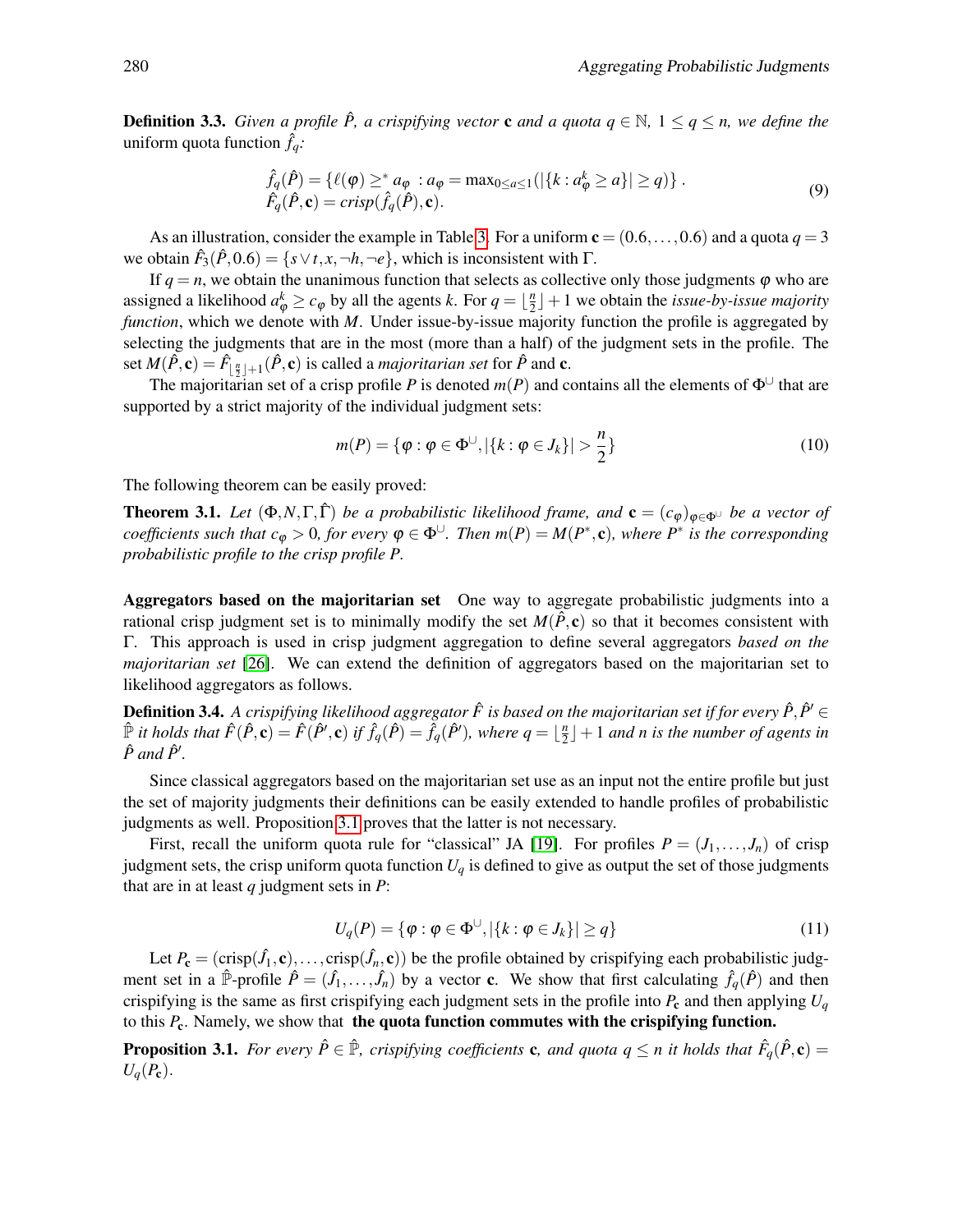**Definition 3.3.** *Given a profile*  $\hat{P}$ *, a crispifying vector* **c** *and a quota*  $q \in \mathbb{N}$ *,*  $1 \leq q \leq n$ *, we define the* uniform quota function  $\hat{f}_q$ *:* 

$$
\hat{f}_q(\hat{P}) = \{ \ell(\varphi) \geq^* a_{\varphi} : a_{\varphi} = \max_{0 \leq a \leq 1} (|\{k : a_{\varphi}^k \geq a\}| \geq q) \} .
$$
\n
$$
\hat{F}_q(\hat{P}, \mathbf{c}) = \operatorname{crisp}(\hat{f}_q(\hat{P}), \mathbf{c}).
$$
\n(9)

As an illustration, consider the example in Table [3.](#page-4-0) For a uniform  $c = (0.6, \ldots, 0.6)$  and a quota  $q = 3$ we obtain  $\hat{F}_3(\hat{P}, 0.6) = \{s \lor t, x, \neg h, \neg e\}$ , which is inconsistent with  $\Gamma$ .

If  $q = n$ , we obtain the unanimous function that selects as collective only those judgments  $\varphi$  who are assigned a likelihood  $a_{\varphi}^k \ge c_{\varphi}$  by all the agents *k*. For  $q = \lfloor \frac{n}{2} \rfloor$  $\frac{n}{2}$   $\rfloor$  + 1 we obtain the *issue-by-issue majority function*, which we denote with *M*. Under issue-by-issue majority function the profile is aggregated by selecting the judgments that are in the most (more than a half) of the judgment sets in the profile. The set  $M(\hat{P}, \mathbf{c}) = \hat{F}_{\lfloor \frac{n}{2} \rfloor + 1}(\hat{P}, \mathbf{c})$  is called a *majoritarian set* for  $\hat{P}$  and  $\mathbf{c}$ .

The majoritarian set of a crisp profile *P* is denoted  $m(P)$  and contains all the elements of  $\Phi^{\cup}$  that are supported by a strict majority of the individual judgment sets:

$$
m(P) = \{ \varphi : \varphi \in \Phi^{\cup}, |\{k : \varphi \in J_k\}| > \frac{n}{2} \}
$$
 (10)

The following theorem can be easily proved:

**Theorem 3.1.** *Let*  $(\Phi, N, \Gamma, \hat{\Gamma})$  *be a probabilistic likelihood frame, and*  $\mathbf{c} = (c_{\phi})_{\phi \in \Phi}$  *be a vector of coefficients such that*  $c_\phi > 0$ *, for every*  $\varphi \in \Phi^{\cup}$ . Then  $m(P) = M(P^*, \mathbf{c})$ , where  $P^*$  is the corresponding *probabilistic profile to the crisp profile P.*

Aggregators based on the majoritarian set One way to aggregate probabilistic judgments into a rational crisp judgment set is to minimally modify the set  $M(\hat{P}, c)$  so that it becomes consistent with Γ. This approach is used in crisp judgment aggregation to define several aggregators *based on the majoritarian set* [\[26\]](#page-19-3). We can extend the definition of aggregators based on the majoritarian set to likelihood aggregators as follows.

**Definition 3.4.** A crispifying likelihood aggregator  $\hat{F}$  is based on the majoritarian set if for every  $\hat{P}, \hat{P}' \in$  $\hat{F}$  *it holds that*  $\hat{F}(\hat{P}, \mathbf{c}) = \hat{F}(\hat{P}', \mathbf{c})$  *if*  $\hat{f}_q(\hat{P}) = \hat{f}_q(\hat{P}'),$  where  $q = \lfloor \frac{n}{2} \rfloor$  $\frac{n}{2}$  $\rfloor$  + 1 and n is the number of agents in  $\hat{P}$  and  $\hat{P}'$ .

Since classical aggregators based on the majoritarian set use as an input not the entire profile but just the set of majority judgments their definitions can be easily extended to handle profiles of probabilistic judgments as well. Proposition [3.1](#page-7-0) proves that the latter is not necessary.

First, recall the uniform quota rule for "classical" JA [\[19\]](#page-18-0). For profiles  $P = (J_1, \ldots, J_n)$  of crisp judgment sets, the crisp uniform quota function  $U_q$  is defined to give as output the set of those judgments that are in at least *q* judgment sets in *P*:

$$
U_q(P) = \{ \varphi : \varphi \in \Phi^{\cup}, |\{k : \varphi \in J_k\}| \ge q \}
$$
\n
$$
(11)
$$

Let  $P_c = (crisp(\hat{J}_1, c), \ldots, crisp(\hat{J}_n, c))$  be the profile obtained by crispifying each probabilistic judgment set in a  $\hat{P}$ -profile  $\hat{P} = (\hat{J}_1, \dots, \hat{J}_n)$  by a vector c. We show that first calculating  $\hat{f}_q(\hat{P})$  and then crispifying is the same as first crispifying each judgment sets in the profile into  $P_c$  and then applying  $U_q$ to this *P*c. Namely, we show that the quota function commutes with the crispifying function.

<span id="page-7-0"></span>**Proposition 3.1.** For every  $\hat{P} \in \hat{P}$ , crispifying coefficients **c**, and quota  $q \leq n$  it holds that  $\hat{F}_q(\hat{P}, \mathbf{c}) =$  $U_q(P_c)$ .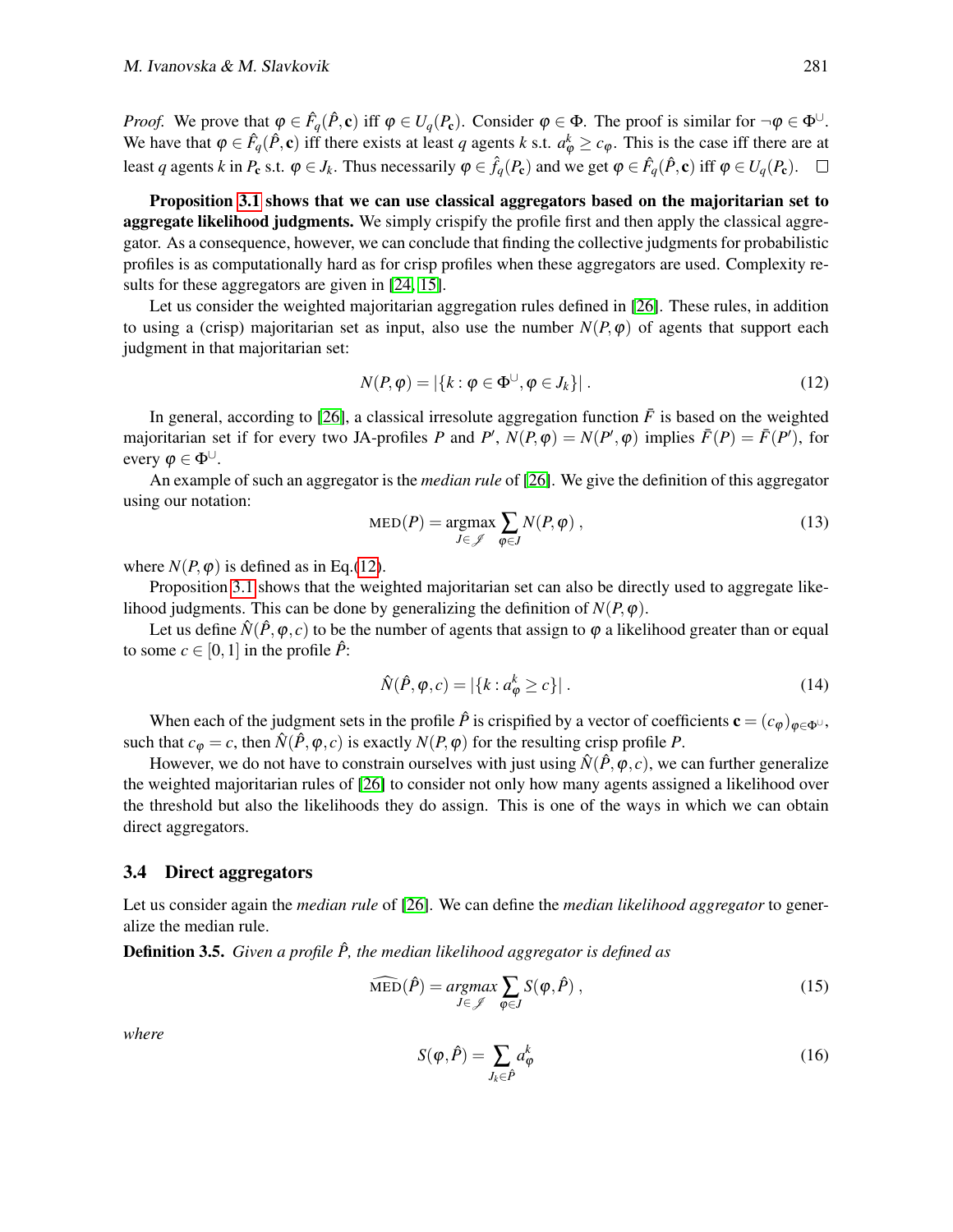*Proof.* We prove that  $\varphi \in \hat{F}_q(\hat{P}, \mathbf{c})$  iff  $\varphi \in U_q(P_{\mathbf{c}})$ . Consider  $\varphi \in \Phi$ . The proof is similar for  $\neg \varphi \in \Phi^{\cup}$ . We have that  $\varphi \in \hat{F}_q(\hat{P}, \mathbf{c})$  iff there exists at least *q* agents *k* s.t.  $a_{\varphi}^k \ge c_{\varphi}$ . This is the case iff there are at least *q* agents *k* in  $P_c$  s.t.  $\varphi \in J_k$ . Thus necessarily  $\varphi \in \hat{f}_q(P_c)$  and we get  $\varphi \in \hat{F}_q(\hat{P}, c)$  iff  $\varphi \in U_q(P_c)$ .

Proposition [3.1](#page-7-0) shows that we can use classical aggregators based on the majoritarian set to aggregate likelihood judgments. We simply crispify the profile first and then apply the classical aggregator. As a consequence, however, we can conclude that finding the collective judgments for probabilistic profiles is as computationally hard as for crisp profiles when these aggregators are used. Complexity re-sults for these aggregators are given in [\[24,](#page-19-6) [15\]](#page-18-5).

Let us consider the weighted majoritarian aggregation rules defined in [\[26\]](#page-19-3). These rules, in addition to using a (crisp) majoritarian set as input, also use the number  $N(P, \varphi)$  of agents that support each judgment in that majoritarian set:

<span id="page-8-1"></span>
$$
N(P, \varphi) = |\{k : \varphi \in \Phi^{\cup}, \varphi \in J_k\}|. \tag{12}
$$

In general, according to [\[26\]](#page-19-3), a classical irresolute aggregation function  $\bar{F}$  is based on the weighted majoritarian set if for every two JA-profiles *P* and *P'*,  $N(P, \varphi) = N(P', \varphi)$  implies  $\bar{F}(P) = \bar{F}(P')$ , for every  $\varphi \in \Phi^{\cup}$ .

An example of such an aggregator is the *median rule* of [\[26\]](#page-19-3). We give the definition of this aggregator using our notation:

<span id="page-8-2"></span>
$$
MED(P) = \underset{J \in \mathcal{J}}{\operatorname{argmax}} \sum_{\varphi \in J} N(P, \varphi) , \qquad (13)
$$

where  $N(P, \varphi)$  is defined as in Eq.[\(12\)](#page-8-1).

Proposition [3.1](#page-7-0) shows that the weighted majoritarian set can also be directly used to aggregate likelihood judgments. This can be done by generalizing the definition of  $N(P, \varphi)$ .

Let us define  $\hat{N}(\hat{P},\varphi,c)$  to be the number of agents that assign to  $\varphi$  a likelihood greater than or equal to some  $c \in [0,1]$  in the profile  $\hat{P}$ :

$$
\hat{N}(\hat{P}, \varphi, c) = |\{k : a_{\varphi}^k \ge c\}|.
$$
\n(14)

When each of the judgment sets in the profile  $\hat{P}$  is crispified by a vector of coefficients  $\mathbf{c} = (c_{\phi})_{\phi \in \Phi^{\cup}}$ , such that  $c_{\varphi} = c$ , then  $\hat{N}(\hat{P}, \varphi, c)$  is exactly  $N(P, \varphi)$  for the resulting crisp profile P.

However, we do not have to constrain ourselves with just using  $\hat{N}(\hat{P},\varphi,c)$ , we can further generalize the weighted majoritarian rules of [\[26\]](#page-19-3) to consider not only how many agents assigned a likelihood over the threshold but also the likelihoods they do assign. This is one of the ways in which we can obtain direct aggregators.

#### <span id="page-8-0"></span>3.4 Direct aggregators

Let us consider again the *median rule* of [\[26\]](#page-19-3). We can define the *median likelihood aggregator* to generalize the median rule.

**Definition 3.5.** *Given a profile*  $\hat{P}$ *, the median likelihood aggregator is defined as* 

$$
\widehat{\text{MED}}(\hat{P}) = \underset{J \in \mathcal{J}}{\operatorname{argmax}} \sum_{\varphi \in J} S(\varphi, \hat{P}), \qquad (15)
$$

*where*

$$
S(\varphi, \hat{P}) = \sum_{J_k \in \hat{P}} a_{\varphi}^k
$$
 (16)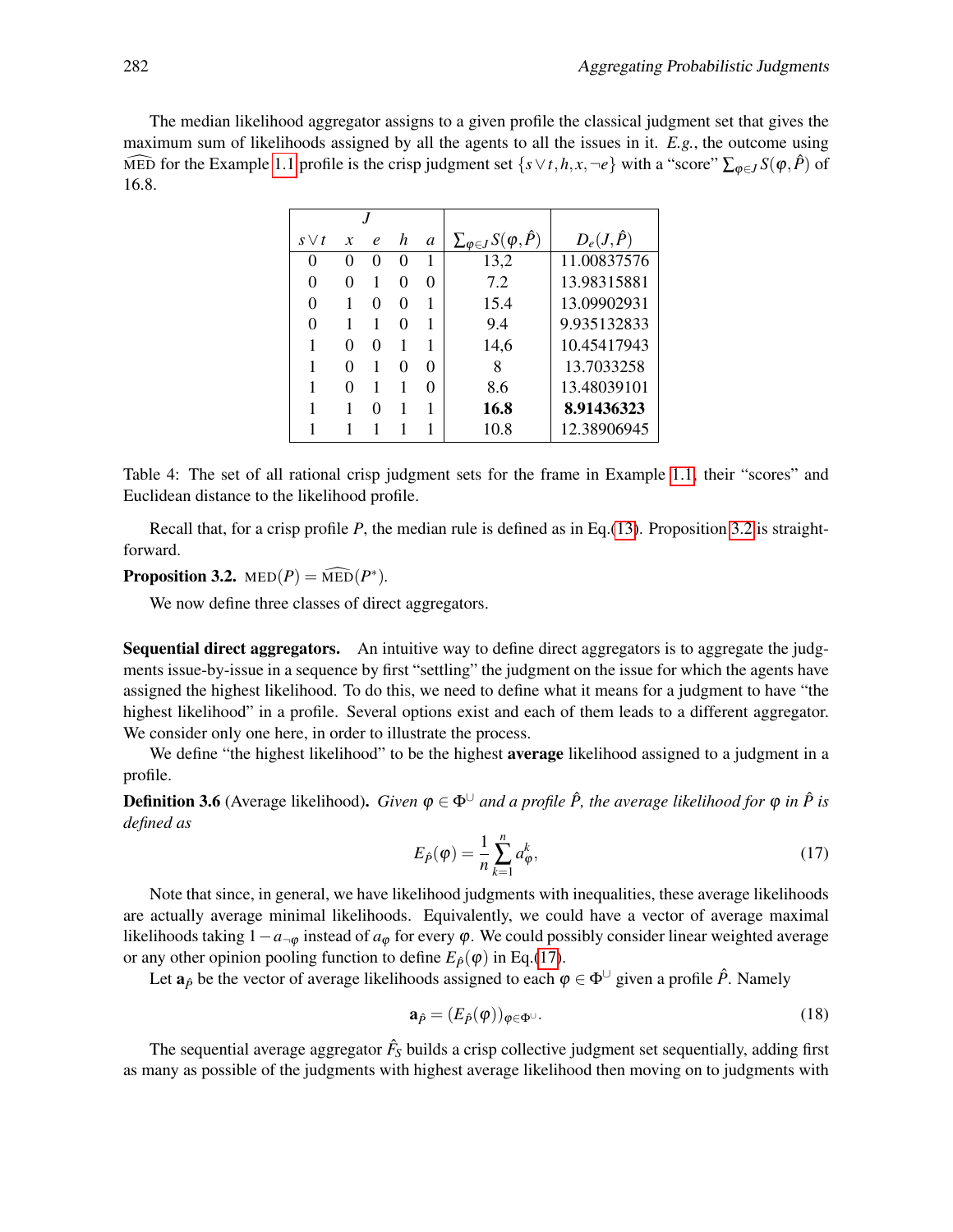The median likelihood aggregator assigns to a given profile the classical judgment set that gives the maximum sum of likelihoods assigned by all the agents to all the issues in it. *E.g.*, the outcome using MED for the Example [1.1](#page-0-1) profile is the crisp judgment set  $\{s \vee t, h, x, \neg e\}$  with a "score"  $\sum_{\varphi \in J} S(\varphi, \hat{P})$  of 16.8.

| $s \vee t$ | $\boldsymbol{x}$  | $\boldsymbol{\rho}$ | h                 | a            | $\sum_{\varphi \in J} S(\varphi, \hat{P})$ | $D_e(J,\hat{P})$ |
|------------|-------------------|---------------------|-------------------|--------------|--------------------------------------------|------------------|
|            |                   | $\mathbf{\Omega}$   | 0                 |              | 13,2                                       | 11.00837576      |
|            | $\mathbf{\Omega}$ |                     | $\mathbf{\Omega}$ | $\mathbf{0}$ | 7.2                                        | 13.98315881      |
|            |                   |                     | 0                 |              | 15.4                                       | 13.09902931      |
|            |                   |                     | $\mathbf{\Omega}$ |              | 9.4                                        | 9.935132833      |
|            | 0                 | 0                   |                   |              | 14,6                                       | 10.45417943      |
|            | $\mathbf{\Omega}$ |                     | Ω                 | ∩            | 8                                          | 13.7033258       |
|            |                   |                     |                   |              | 8.6                                        | 13.48039101      |
|            |                   | 0                   |                   |              | 16.8                                       | 8.91436323       |
|            |                   |                     |                   |              | 10.8                                       | 12.38906945      |

<span id="page-9-2"></span>Table 4: The set of all rational crisp judgment sets for the frame in Example [1.1,](#page-0-1) their "scores" and Euclidean distance to the likelihood profile.

Recall that, for a crisp profile *P*, the median rule is defined as in Eq.[\(13\)](#page-8-2). Proposition [3.2](#page-9-0) is straightforward.

<span id="page-9-0"></span>**Proposition 3.2.** MED $(P) = \widehat{\text{MED}}(P^*)$ .

We now define three classes of direct aggregators.

Sequential direct aggregators. An intuitive way to define direct aggregators is to aggregate the judgments issue-by-issue in a sequence by first "settling" the judgment on the issue for which the agents have assigned the highest likelihood. To do this, we need to define what it means for a judgment to have "the highest likelihood" in a profile. Several options exist and each of them leads to a different aggregator. We consider only one here, in order to illustrate the process.

We define "the highest likelihood" to be the highest average likelihood assigned to a judgment in a profile.

<span id="page-9-1"></span>**Definition 3.6** (Average likelihood). *Given*  $\varphi \in \Phi^{\cup}$  *and a profile*  $\hat{P}$ *, the average likelihood for*  $\varphi$  *in*  $\hat{P}$  *is defined as*

$$
E_{\hat{P}}(\varphi) = \frac{1}{n} \sum_{k=1}^{n} a_{\varphi}^{k},\tag{17}
$$

Note that since, in general, we have likelihood judgments with inequalities, these average likelihoods are actually average minimal likelihoods. Equivalently, we could have a vector of average maximal likelihoods taking  $1-a_{\neg\varphi}$  instead of  $a_{\varphi}$  for every  $\varphi$ . We could possibly consider linear weighted average or any other opinion pooling function to define  $E_{\hat{P}}(\varphi)$  in Eq.[\(17\)](#page-9-1).

Let  $\mathbf{a}_{\hat{p}}$  be the vector of average likelihoods assigned to each  $\varphi \in \Phi^{\cup}$  given a profile  $\hat{P}$ . Namely

$$
\mathbf{a}_{\hat{P}} = (E_{\hat{P}}(\varphi))_{\varphi \in \Phi^{\cup}}.\tag{18}
$$

The sequential average aggregator  $\hat{F_S}$  builds a crisp collective judgment set sequentially, adding first as many as possible of the judgments with highest average likelihood then moving on to judgments with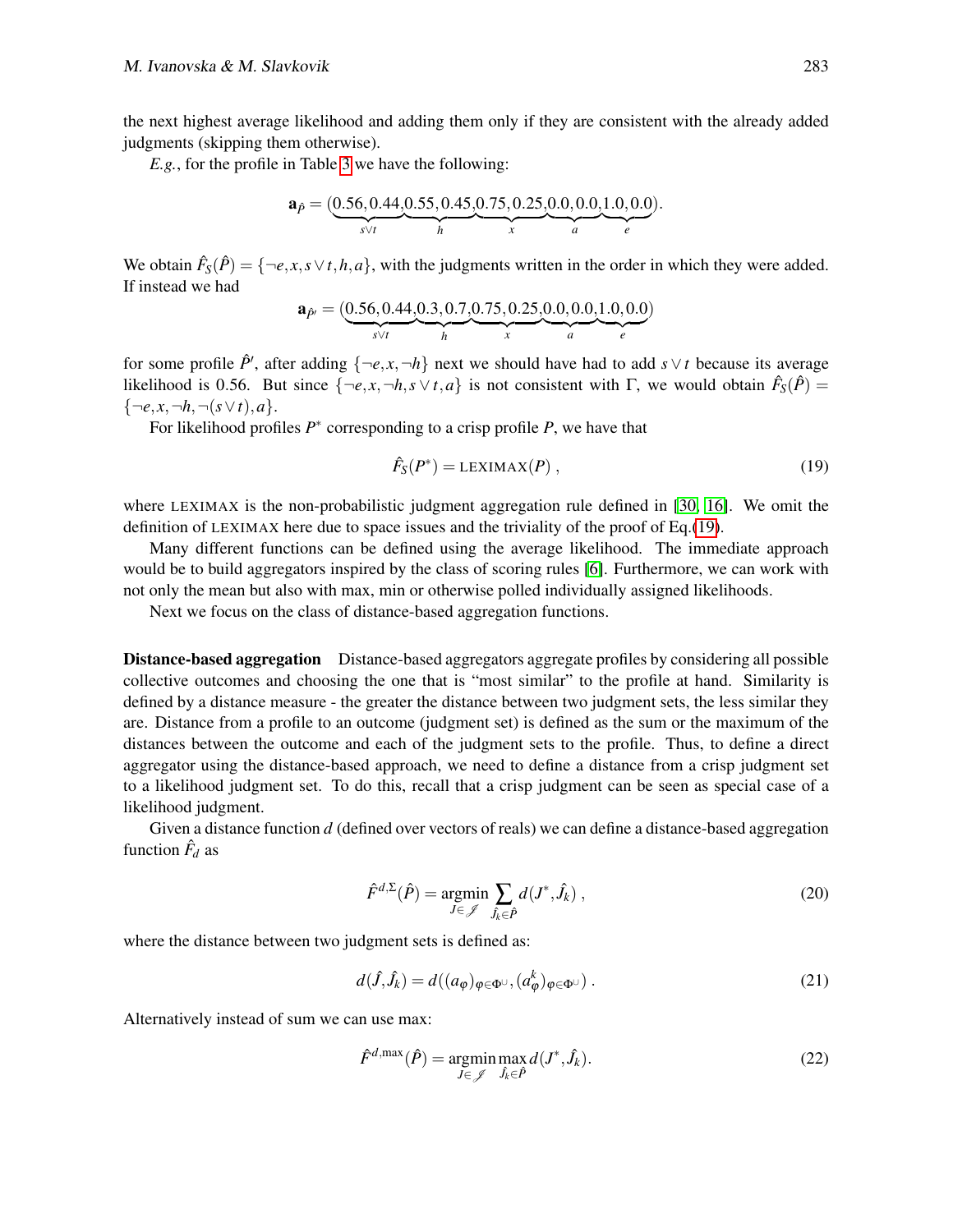the next highest average likelihood and adding them only if they are consistent with the already added judgments (skipping them otherwise).

*E.g.*, for the profile in Table [3](#page-4-0) we have the following:

$$
\mathbf{a}_{\hat{P}} = (\underbrace{0.56, 0.44, 0.55, 0.45, 0.75, 0.25, 0.0, 0.0, 1.0, 0.0}_{h})
$$

We obtain  $\hat{F}_S(\hat{P}) = \{\neg e, x, s \lor t, h, a\}$ , with the judgments written in the order in which they were added. If instead we had

$$
\mathbf{a}_{\hat{P}'} = (\underbrace{0.56, 0.44, 0.3, 0.7, 0.75, 0.25, 0.0, 0.0, 1.0, 0.0}_{n})_{x}^{(1)}.
$$

for some profile  $\hat{P}$ <sup>*'*</sup>, after adding  $\{-e, x, \neg h\}$  next we should have had to add  $s \vee t$  because its average likelihood is 0.56. But since  $\{\neg e, x, \neg h, s \lor t, a\}$  is not consistent with  $\Gamma$ , we would obtain  $\hat{F}_S(\hat{P}) =$  $\{\neg e, x, \neg h, \neg (s \lor t), a\}.$ 

For likelihood profiles  $P^*$  corresponding to a crisp profile  $P$ , we have that

<span id="page-10-0"></span>
$$
\hat{F}_S(P^*) = \text{LEXIMAX}(P) \,,\tag{19}
$$

where LEXIMAX is the non-probabilistic judgment aggregation rule defined in [\[30,](#page-19-7) [16\]](#page-18-6). We omit the definition of LEXIMAX here due to space issues and the triviality of the proof of Eq.[\(19\)](#page-10-0).

Many different functions can be defined using the average likelihood. The immediate approach would be to build aggregators inspired by the class of scoring rules [\[6\]](#page-18-7). Furthermore, we can work with not only the mean but also with max, min or otherwise polled individually assigned likelihoods.

Next we focus on the class of distance-based aggregation functions.

Distance-based aggregation Distance-based aggregators aggregate profiles by considering all possible collective outcomes and choosing the one that is "most similar" to the profile at hand. Similarity is defined by a distance measure - the greater the distance between two judgment sets, the less similar they are. Distance from a profile to an outcome (judgment set) is defined as the sum or the maximum of the distances between the outcome and each of the judgment sets to the profile. Thus, to define a direct aggregator using the distance-based approach, we need to define a distance from a crisp judgment set to a likelihood judgment set. To do this, recall that a crisp judgment can be seen as special case of a likelihood judgment.

<span id="page-10-1"></span>Given a distance function *d* (defined over vectors of reals) we can define a distance-based aggregation function  $\hat{F}_d$  as

$$
\hat{F}^{d,\Sigma}(\hat{P}) = \underset{J \in \mathscr{J}}{\operatorname{argmin}} \sum_{\hat{J}_k \in \hat{P}} d(J^*, \hat{J}_k) ,
$$
\n(20)

where the distance between two judgment sets is defined as:

$$
d(\hat{J}, \hat{J}_k) = d((a_{\varphi})_{\varphi \in \Phi^{\cup}}, (a_{\varphi}^k)_{\varphi \in \Phi^{\cup}}).
$$
\n(21)

Alternatively instead of sum we can use max:

$$
\hat{F}^{d,\max}(\hat{P}) = \underset{J \in \mathcal{J}}{\operatorname{argmin}} \max_{\hat{J}_k \in \hat{P}} d(J^*, \hat{J}_k). \tag{22}
$$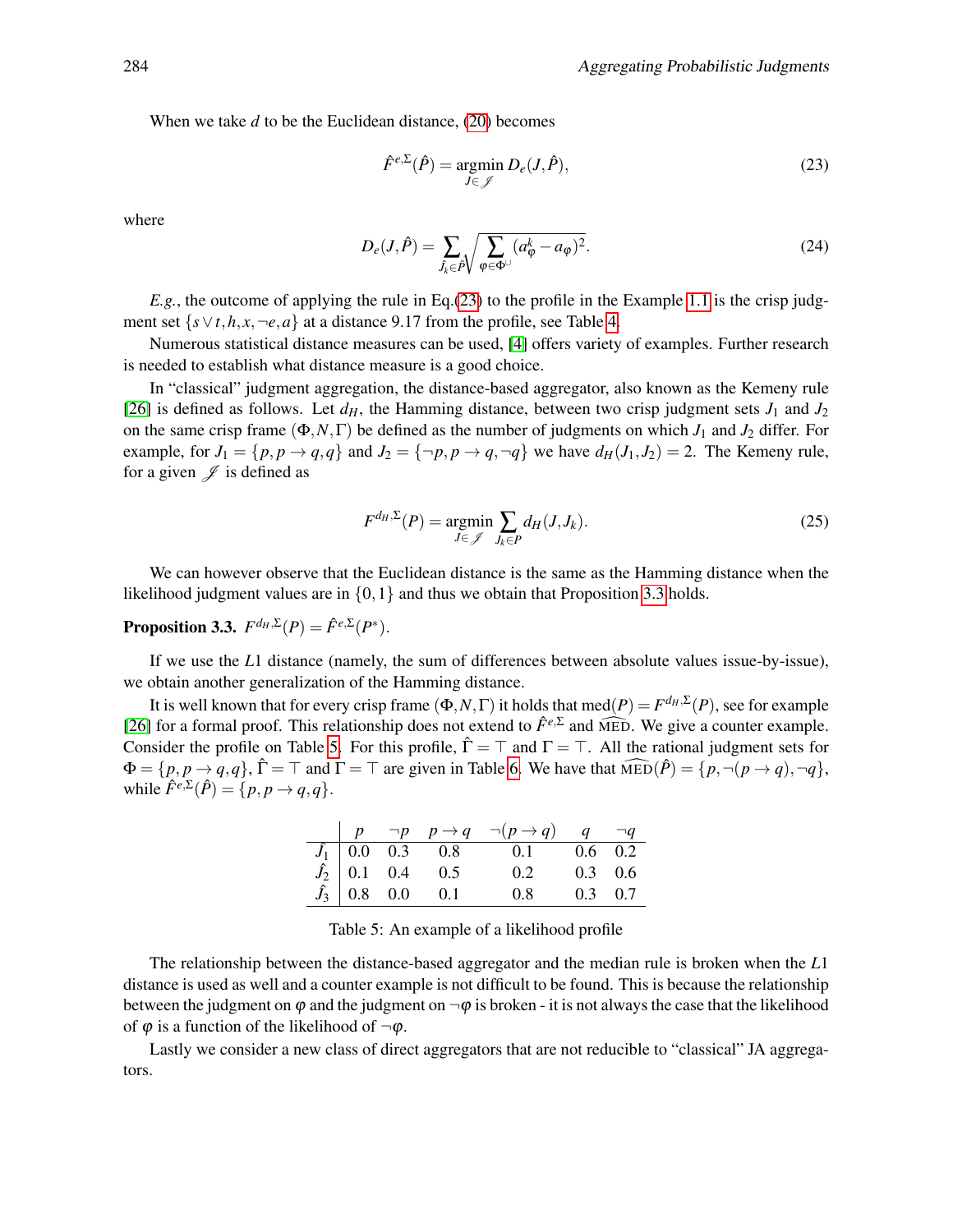When we take *d* to be the Euclidean distance, [\(20\)](#page-10-1) becomes

<span id="page-11-0"></span>
$$
\hat{F}^{e,\Sigma}(\hat{P}) = \underset{J \in \mathscr{J}}{\operatorname{argmin}} \, D_e(J,\hat{P}),\tag{23}
$$

where

$$
D_e(J,\hat{P}) = \sum_{\hat{J}_k \in \hat{P}} \sqrt{\sum_{\varphi \in \Phi^{\cup}} (a_{\varphi}^k - a_{\varphi})^2}.
$$
 (24)

*E.g.*, the outcome of applying the rule in Eq.[\(23\)](#page-11-0) to the profile in the Example [1.1](#page-0-1) is the crisp judgment set  $\{s \vee t, h, x, \neg e, a\}$  at a distance 9.17 from the profile, see Table [4.](#page-9-2)

Numerous statistical distance measures can be used, [\[4\]](#page-17-1) offers variety of examples. Further research is needed to establish what distance measure is a good choice.

In "classical" judgment aggregation, the distance-based aggregator, also known as the Kemeny rule [\[26\]](#page-19-3) is defined as follows. Let  $d_H$ , the Hamming distance, between two crisp judgment sets  $J_1$  and  $J_2$ on the same crisp frame (Φ,*N*,Γ) be defined as the number of judgments on which *J*<sup>1</sup> and *J*<sup>2</sup> differ. For example, for  $J_1 = \{p, p \rightarrow q, q\}$  and  $J_2 = \{\neg p, p \rightarrow q, \neg q\}$  we have  $d_H(J_1, J_2) = 2$ . The Kemeny rule, for a given  $\mathscr J$  is defined as

$$
F^{d_H, \Sigma}(P) = \underset{J \in \mathcal{J}}{\operatorname{argmin}} \sum_{J_k \in P} d_H(J, J_k). \tag{25}
$$

We can however observe that the Euclidean distance is the same as the Hamming distance when the likelihood judgment values are in  $\{0,1\}$  and thus we obtain that Proposition [3.3](#page-11-1) holds.

<span id="page-11-1"></span>**Proposition 3.3.**  $F^{d_H, \Sigma}(P) = \hat{F}^{e, \Sigma}(P^*)$ .

If we use the *L*1 distance (namely, the sum of differences between absolute values issue-by-issue), we obtain another generalization of the Hamming distance.

It is well known that for every crisp frame  $(\Phi, N, \Gamma)$  it holds that med $(P) = F^{d_H, \Sigma}(P)$ , see for example [\[26\]](#page-19-3) for a formal proof. This relationship does not extend to  $\hat{F}^{e,\Sigma}$  and  $\widehat{MED}$ . We give a counter example. Consider the profile on Table [5.](#page-11-2) For this profile,  $\hat{\Gamma} = \top$  and  $\Gamma = \top$ . All the rational judgment sets for  $\Phi = \{p, p \rightarrow q, q\}, \hat{\Gamma} = \top$  and  $\Gamma = \top$  are given in Table [6.](#page-12-0) We have that  $\widehat{MED}(\hat{P}) = \{p, \neg(p \rightarrow q), \neg q\},\$ while  $\hat{F}^{e,\Sigma}(\hat{P}) = \{p, p \rightarrow q, q\}.$ 

|  |  | $\begin{array}{ c c c c c c } \hline p & \neg p & p \rightarrow q & \neg (p \rightarrow q) & q & \neg q \end{array}$                                                                             |  |
|--|--|--------------------------------------------------------------------------------------------------------------------------------------------------------------------------------------------------|--|
|  |  |                                                                                                                                                                                                  |  |
|  |  |                                                                                                                                                                                                  |  |
|  |  | $\begin{array}{c cccc} \hline f_1 & 0.0 & 0.3 & 0.8 & 0.1 & 0.6 & 0.2 \\ \hline f_2 & 0.1 & 0.4 & 0.5 & 0.2 & 0.3 & 0.6 \\ \hline f_3 & 0.8 & 0.0 & 0.1 & 0.8 & 0.3 & 0.7 \\ \hline \end{array}$ |  |

<span id="page-11-2"></span>Table 5: An example of a likelihood profile

The relationship between the distance-based aggregator and the median rule is broken when the *L*1 distance is used as well and a counter example is not difficult to be found. This is because the relationship between the judgment on  $\varphi$  and the judgment on  $\neg \varphi$  is broken - it is not always the case that the likelihood of  $\varphi$  is a function of the likelihood of  $\neg \varphi$ .

Lastly we consider a new class of direct aggregators that are not reducible to "classical" JA aggregators.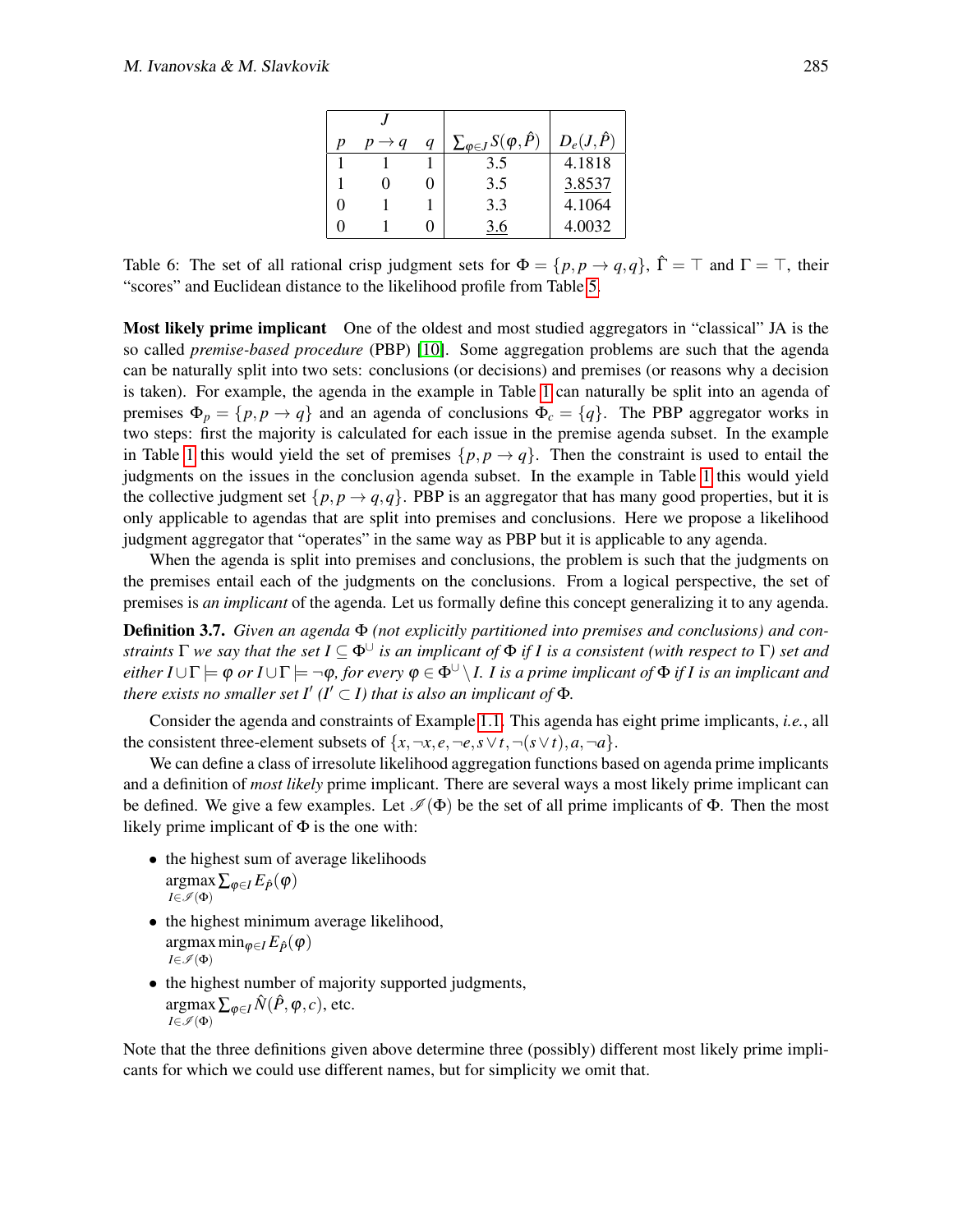| $p \rightarrow q$ | q | $\sum_{\varphi \in J} S(\varphi, \hat{P})$ | $D_e(J,\hat{P})$ |
|-------------------|---|--------------------------------------------|------------------|
|                   |   | 3.5                                        | 4.1818           |
|                   |   | 3.5                                        | 3.8537           |
|                   |   | 3.3                                        | 4.1064           |
|                   |   | 36                                         | 4.0032           |

<span id="page-12-0"></span>Table 6: The set of all rational crisp judgment sets for  $\Phi = \{p, p \to q, q\}$ ,  $\hat{\Gamma} = \top$  and  $\Gamma = \top$ , their "scores" and Euclidean distance to the likelihood profile from Table [5.](#page-11-2)

Most likely prime implicant One of the oldest and most studied aggregators in "classical" JA is the so called *premise-based procedure* (PBP) [\[10\]](#page-18-8). Some aggregation problems are such that the agenda can be naturally split into two sets: conclusions (or decisions) and premises (or reasons why a decision is taken). For example, the agenda in the example in Table [1](#page-0-0) can naturally be split into an agenda of premises  $\Phi_p = \{p, p \to q\}$  and an agenda of conclusions  $\Phi_c = \{q\}$ . The PBP aggregator works in two steps: first the majority is calculated for each issue in the premise agenda subset. In the example in Table [1](#page-0-0) this would yield the set of premises  $\{p, p \to q\}$ . Then the constraint is used to entail the judgments on the issues in the conclusion agenda subset. In the example in Table [1](#page-0-0) this would yield the collective judgment set  $\{p, p \rightarrow q, q\}$ . PBP is an aggregator that has many good properties, but it is only applicable to agendas that are split into premises and conclusions. Here we propose a likelihood judgment aggregator that "operates" in the same way as PBP but it is applicable to any agenda.

When the agenda is split into premises and conclusions, the problem is such that the judgments on the premises entail each of the judgments on the conclusions. From a logical perspective, the set of premises is *an implicant* of the agenda. Let us formally define this concept generalizing it to any agenda.

Definition 3.7. *Given an agenda* Φ *(not explicitly partitioned into premises and conclusions) and constraints*  $\Gamma$  *we say that the set*  $I \subseteq \Phi^{\cup}$  *is an implicant of*  $\Phi$  *if I is a consistent (with respect to*  $\Gamma$ ) *set and either I* ∪ $\Gamma \models \varphi$  *or I* ∪ $\Gamma \models \neg \varphi$ *, for every*  $\varphi \in \Phi^{\cup} \setminus I$ . *I is a prime implicant of*  $\Phi$  *if I is an implicant and there exists no smaller set I'* ( $I' \subset I$ ) that is also an implicant of  $\Phi$ *.* 

Consider the agenda and constraints of Example [1.1.](#page-0-1) This agenda has eight prime implicants, *i.e.*, all the consistent three-element subsets of  $\{x, \neg x, e, \neg e, s \lor t, \neg (s \lor t), a, \neg a\}.$ 

We can define a class of irresolute likelihood aggregation functions based on agenda prime implicants and a definition of *most likely* prime implicant. There are several ways a most likely prime implicant can be defined. We give a few examples. Let  $\mathcal{I}(\Phi)$  be the set of all prime implicants of  $\Phi$ . Then the most likely prime implicant of  $\Phi$  is the one with:

- the highest sum of average likelihoods  $\argmax_{\varphi \in I} E_{\hat{P}}(\varphi)$  $I \in \mathscr{I}(\Phi)$
- the highest minimum average likelihood,  $\argmax \min_{\varphi \in I} E_{\hat{P}}(\varphi)$  $I \in \mathscr{I}(\Phi)$
- the highest number of majority supported judgments, argmax  $\mathop{\mathrm{argmax}}_{I \in \mathscr{I}(\Phi)} \sum_{\varphi \in I} \hat{N}(\hat{P}, \varphi, c),$  etc.

Note that the three definitions given above determine three (possibly) different most likely prime implicants for which we could use different names, but for simplicity we omit that.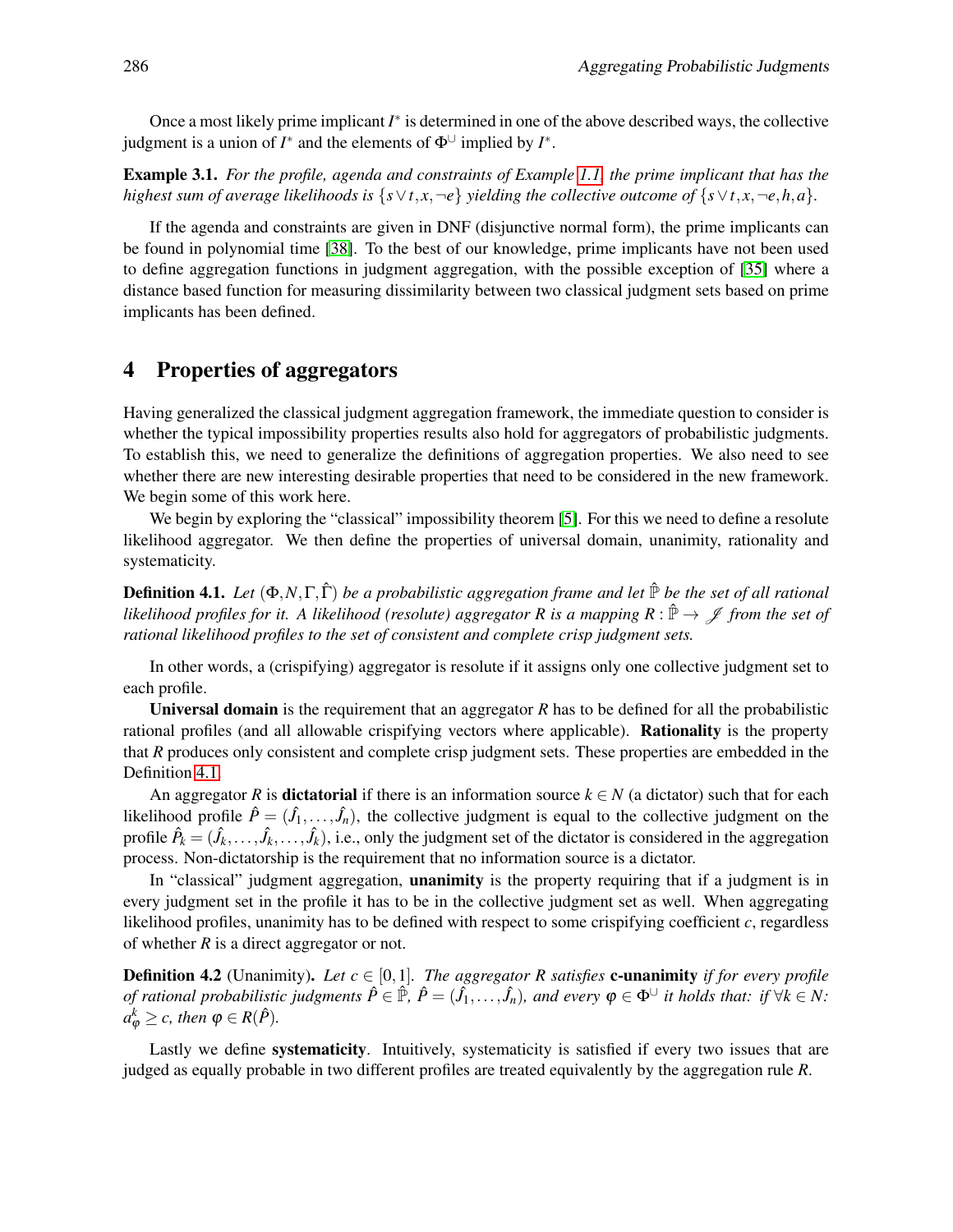Once a most likely prime implicant *I* ∗ is determined in one of the above described ways, the collective judgment is a union of  $I^*$  and the elements of  $\Phi^{\cup}$  implied by  $I^*$ .

Example 3.1. *For the profile, agenda and constraints of Example [1.1,](#page-0-1) the prime implicant that has the highest sum of average likelihoods is*  $\{s \vee t, x, \neg e\}$  *yielding the collective outcome of*  $\{s \vee t, x, \neg e, h, a\}$ *.* 

If the agenda and constraints are given in DNF (disjunctive normal form), the prime implicants can be found in polynomial time [\[38\]](#page-19-8). To the best of our knowledge, prime implicants have not been used to define aggregation functions in judgment aggregation, with the possible exception of [\[35\]](#page-19-9) where a distance based function for measuring dissimilarity between two classical judgment sets based on prime implicants has been defined.

# <span id="page-13-0"></span>4 Properties of aggregators

Having generalized the classical judgment aggregation framework, the immediate question to consider is whether the typical impossibility properties results also hold for aggregators of probabilistic judgments. To establish this, we need to generalize the definitions of aggregation properties. We also need to see whether there are new interesting desirable properties that need to be considered in the new framework. We begin some of this work here.

We begin by exploring the "classical" impossibility theorem [\[5\]](#page-17-2). For this we need to define a resolute likelihood aggregator. We then define the properties of universal domain, unanimity, rationality and systematicity.

<span id="page-13-1"></span>**Definition 4.1.** *Let*  $(\Phi, N, \Gamma, \hat{\Gamma})$  *be a probabilistic aggregation frame and let*  $\hat{\mathbb{P}}$  *be the set of all rational likelihood profiles for it. A likelihood (resolute) aggregator R is a mapping R* :  $\hat{P} \to \mathscr{J}$  *from the set of rational likelihood profiles to the set of consistent and complete crisp judgment sets.*

In other words, a (crispifying) aggregator is resolute if it assigns only one collective judgment set to each profile.

Universal domain is the requirement that an aggregator *R* has to be defined for all the probabilistic rational profiles (and all allowable crispifying vectors where applicable). Rationality is the property that *R* produces only consistent and complete crisp judgment sets. These properties are embedded in the Definition [4.1.](#page-13-1)

An aggregator *R* is **dictatorial** if there is an information source  $k \in N$  (a dictator) such that for each likelihood profile  $\hat{P} = (\hat{J}_1, \dots, \hat{J}_n)$ , the collective judgment is equal to the collective judgment on the profile  $\hat{P}_k = (\hat{J}_k, \dots, \hat{J}_k, \dots, \hat{J}_k)$ , i.e., only the judgment set of the dictator is considered in the aggregation process. Non-dictatorship is the requirement that no information source is a dictator.

In "classical" judgment aggregation, **unanimity** is the property requiring that if a judgment is in every judgment set in the profile it has to be in the collective judgment set as well. When aggregating likelihood profiles, unanimity has to be defined with respect to some crispifying coefficient *c*, regardless of whether *R* is a direct aggregator or not.

**Definition 4.2** (Unanimity). Let  $c \in [0,1]$ . The aggregator R satisfies **c-unanimity** *if for every profile of rational probabilistic judgments*  $\hat{P} \in \hat{\mathbb{P}}$ ,  $\hat{P} = (\hat{J}_1, \ldots, \hat{J}_n)$ , and every  $\varphi \in \Phi^{\cup}$  it holds that: if  $\forall k \in N$ :  $a_{\varphi}^{k} \geq c$ , then  $\varphi \in R(\hat{P})$ .

Lastly we define systematicity. Intuitively, systematicity is satisfied if every two issues that are judged as equally probable in two different profiles are treated equivalently by the aggregation rule *R*.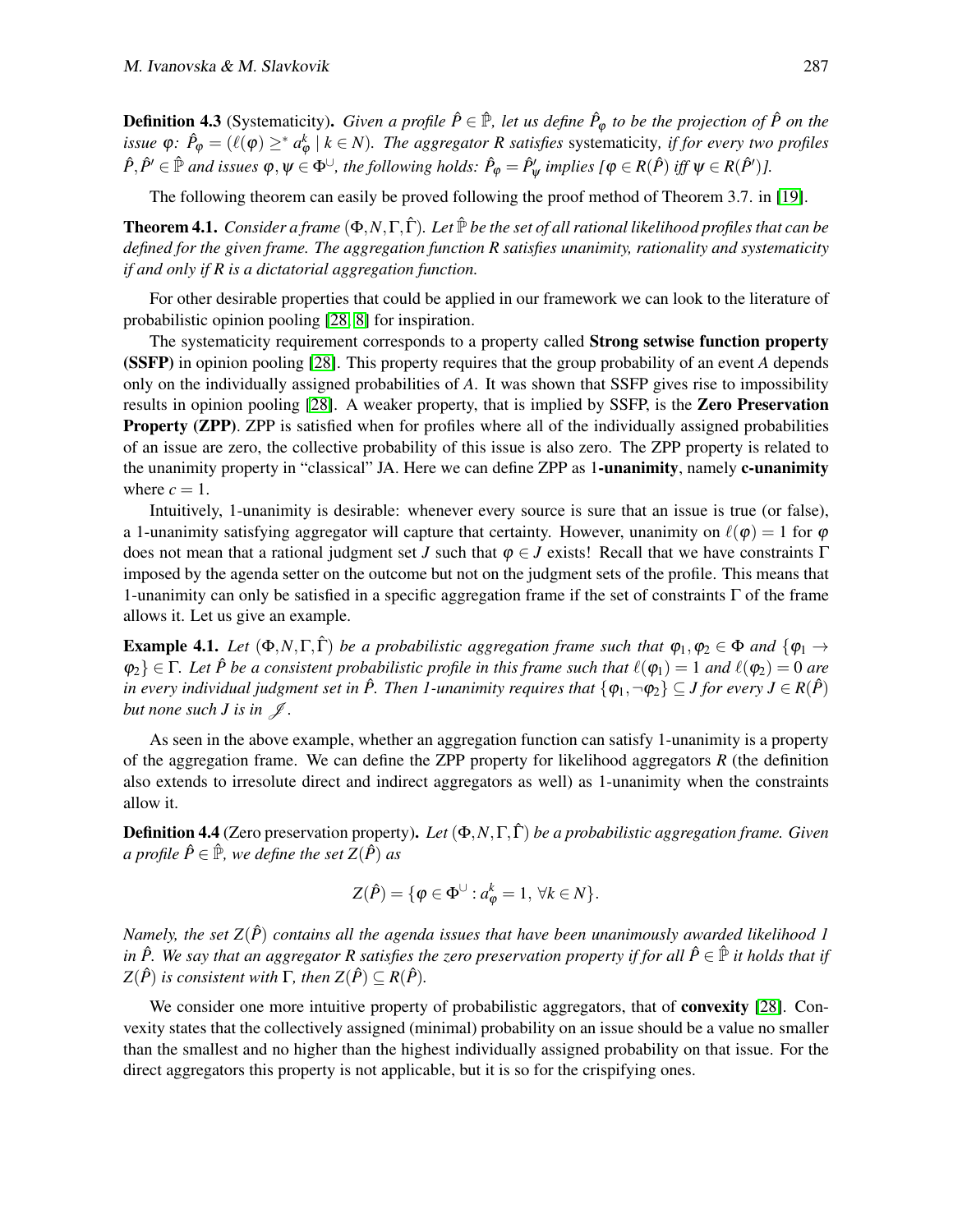**Definition 4.3** (Systematicity). *Given a profile*  $\hat{P} \in \hat{\mathbb{P}}$ , let us define  $\hat{P}_{\varphi}$  to be the projection of  $\hat{P}$  on the *issue*  $\varphi$ :  $\hat{P}_{\varphi} = (\ell(\varphi) \geq^* a_{\varphi}^k \mid k \in N)$ . The aggregator R satisfies systematicity, if for every two profiles  $\hat{P}, \hat{P}' \in \hat{\mathbb{P}}$  *and issues*  $\varphi, \psi \in \Phi^{\cup}$ , the following holds:  $\hat{P}_{\varphi} = \hat{P}'_{\psi}$  implies  $\{\varphi \in R(\hat{P}) \text{ iff } \psi \in R(\hat{P}')\}$ .

The following theorem can easily be proved following the proof method of Theorem 3.7. in [\[19\]](#page-18-0).

**Theorem 4.1.** *Consider a frame*  $(\Phi, N, \Gamma, \hat{\Gamma})$ *. Let*  $\mathbb{P}$  *be the set of all rational likelihood profiles that can be defined for the given frame. The aggregation function R satisfies unanimity, rationality and systematicity if and only if R is a dictatorial aggregation function.*

For other desirable properties that could be applied in our framework we can look to the literature of probabilistic opinion pooling [\[28,](#page-19-4) [8\]](#page-18-9) for inspiration.

The systematicity requirement corresponds to a property called **Strong setwise function property** (SSFP) in opinion pooling [\[28\]](#page-19-4). This property requires that the group probability of an event *A* depends only on the individually assigned probabilities of *A*. It was shown that SSFP gives rise to impossibility results in opinion pooling [\[28\]](#page-19-4). A weaker property, that is implied by SSFP, is the Zero Preservation Property (ZPP). ZPP is satisfied when for profiles where all of the individually assigned probabilities of an issue are zero, the collective probability of this issue is also zero. The ZPP property is related to the unanimity property in "classical" JA. Here we can define ZPP as 1-unanimity, namely c-unanimity where  $c = 1$ .

Intuitively, 1-unanimity is desirable: whenever every source is sure that an issue is true (or false), a 1-unanimity satisfying aggregator will capture that certainty. However, unanimity on  $\ell(\varphi) = 1$  for  $\varphi$ does not mean that a rational judgment set *J* such that  $\varphi \in J$  exists! Recall that we have constraints  $\Gamma$ imposed by the agenda setter on the outcome but not on the judgment sets of the profile. This means that 1-unanimity can only be satisfied in a specific aggregation frame if the set of constraints  $\Gamma$  of the frame allows it. Let us give an example.

**Example 4.1.** Let  $(\Phi, N, \Gamma, \hat{\Gamma})$  be a probabilistic aggregation frame such that  $\varphi_1, \varphi_2 \in \Phi$  and  $\{\varphi_1 \to \varphi_2\}$  $\{\varphi_2\} \in \Gamma$ . Let  $\hat{P}$  be a consistent probabilistic profile in this frame such that  $\ell(\varphi_1) = 1$  and  $\ell(\varphi_2) = 0$  are *in every individual judgment set in*  $\hat{P}$ . Then 1-unanimity requires that  $\{\varphi_1, \neg \varphi_2\} \subseteq J$  for every  $J \in R(\hat{P})$ *but none such J is in*  $\mathcal{J}$ *.* 

As seen in the above example, whether an aggregation function can satisfy 1-unanimity is a property of the aggregation frame. We can define the ZPP property for likelihood aggregators *R* (the definition also extends to irresolute direct and indirect aggregators as well) as 1-unanimity when the constraints allow it.

Definition 4.4 (Zero preservation property). *Let* (Φ,*N*,Γ,Γˆ) *be a probabilistic aggregation frame. Given a profile*  $\hat{P} \in \hat{\mathbb{P}}$ *, we define the set*  $Z(\hat{P})$  *as* 

$$
Z(\hat{P}) = \{ \varphi \in \Phi^{\cup} : a_{\varphi}^{k} = 1, \ \forall k \in N \}.
$$

*Namely, the set*  $Z(\hat{P})$  *contains all the agenda issues that have been unanimously awarded likelihood 1 in*  $\hat{P}$ . We say that an aggregator R satisfies the zero preservation property if for all  $\hat{P} \in \hat{P}$  it holds that if  $Z(\hat{P})$  *is consistent with*  $\Gamma$ *, then*  $Z(\hat{P}) \subset R(\hat{P})$ *.* 

We consider one more intuitive property of probabilistic aggregators, that of **convexity** [\[28\]](#page-19-4). Convexity states that the collectively assigned (minimal) probability on an issue should be a value no smaller than the smallest and no higher than the highest individually assigned probability on that issue. For the direct aggregators this property is not applicable, but it is so for the crispifying ones.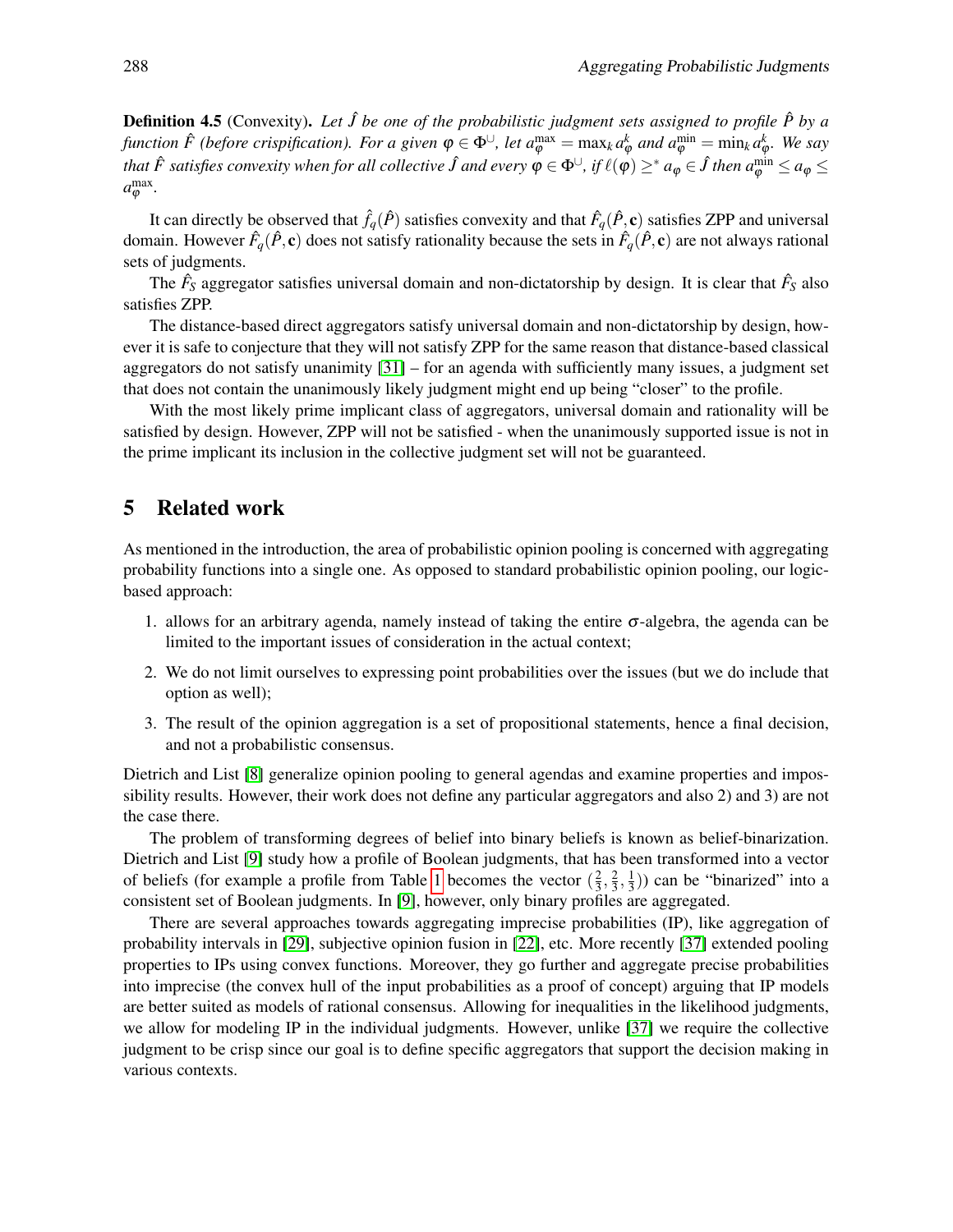**Definition 4.5** (Convexity). Let  $\hat{J}$  be one of the probabilistic judgment sets assigned to profile  $\hat{P}$  by a *function*  $\hat{F}$  (before crispification). For a given  $\varphi \in \Phi^{\cup}$ , let  $a_{\varphi}^{\max} = \max_{k} a_{\varphi}^{k}$  and  $a_{\varphi}^{\min} = \min_{k} a_{\varphi}^{k}$ . We say that  $\hat{F}$  satisfies convexity when for all collective  $\hat{J}$  and every  $\varphi\in\Phi^\cup$ , if  $\ell(\varphi)\geq^*a_\varphi\in\hat{J}$  then  $a_\varphi^{\min}\leq a_\varphi\leq$  $a_{\varphi}^{\max}$ .

It can directly be observed that  $\hat{f}_q(\hat{P})$  satisfies convexity and that  $\hat{F}_q(\hat{P}, \mathbf{c})$  satisfies ZPP and universal domain. However  $\hat{F}_q(\hat{P}, c)$  does not satisfy rationality because the sets in  $\hat{F}_q(\hat{P}, c)$  are not always rational sets of judgments.

The  $\hat{F}_S$  aggregator satisfies universal domain and non-dictatorship by design. It is clear that  $\hat{F}_S$  also satisfies ZPP.

The distance-based direct aggregators satisfy universal domain and non-dictatorship by design, however it is safe to conjecture that they will not satisfy ZPP for the same reason that distance-based classical aggregators do not satisfy unanimity  $[31]$  – for an agenda with sufficiently many issues, a judgment set that does not contain the unanimously likely judgment might end up being "closer" to the profile.

With the most likely prime implicant class of aggregators, universal domain and rationality will be satisfied by design. However, ZPP will not be satisfied - when the unanimously supported issue is not in the prime implicant its inclusion in the collective judgment set will not be guaranteed.

# <span id="page-15-0"></span>5 Related work

As mentioned in the introduction, the area of probabilistic opinion pooling is concerned with aggregating probability functions into a single one. As opposed to standard probabilistic opinion pooling, our logicbased approach:

- 1. allows for an arbitrary agenda, namely instead of taking the entire σ-algebra, the agenda can be limited to the important issues of consideration in the actual context;
- 2. We do not limit ourselves to expressing point probabilities over the issues (but we do include that option as well);
- 3. The result of the opinion aggregation is a set of propositional statements, hence a final decision, and not a probabilistic consensus.

Dietrich and List [\[8\]](#page-18-9) generalize opinion pooling to general agendas and examine properties and impossibility results. However, their work does not define any particular aggregators and also 2) and 3) are not the case there.

The problem of transforming degrees of belief into binary beliefs is known as belief-binarization. Dietrich and List [\[9\]](#page-18-10) study how a profile of Boolean judgments, that has been transformed into a vector of beliefs (for example a profile from Table [1](#page-0-0) becomes the vector  $(\frac{2}{3})$  $\frac{2}{3}, \frac{2}{3}$  $\frac{2}{3}, \frac{1}{3}$  $(\frac{1}{3})$ ) can be "binarized" into a consistent set of Boolean judgments. In [\[9\]](#page-18-10), however, only binary profiles are aggregated.

There are several approaches towards aggregating imprecise probabilities (IP), like aggregation of probability intervals in [\[29\]](#page-19-11), subjective opinion fusion in [\[22\]](#page-18-11), etc. More recently [\[37\]](#page-19-5) extended pooling properties to IPs using convex functions. Moreover, they go further and aggregate precise probabilities into imprecise (the convex hull of the input probabilities as a proof of concept) arguing that IP models are better suited as models of rational consensus. Allowing for inequalities in the likelihood judgments, we allow for modeling IP in the individual judgments. However, unlike [\[37\]](#page-19-5) we require the collective judgment to be crisp since our goal is to define specific aggregators that support the decision making in various contexts.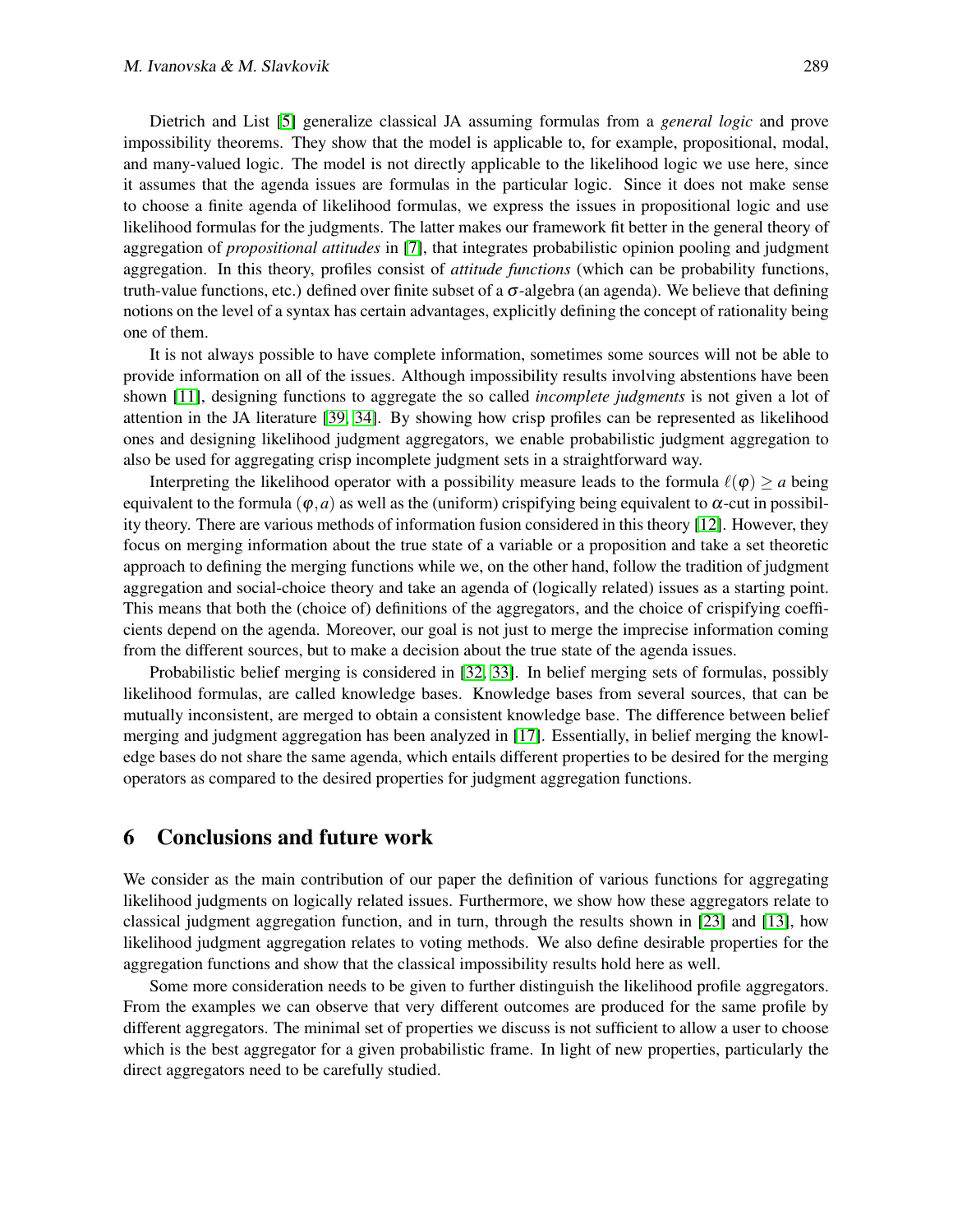Dietrich and List [\[5\]](#page-17-2) generalize classical JA assuming formulas from a *general logic* and prove impossibility theorems. They show that the model is applicable to, for example, propositional, modal, and many-valued logic. The model is not directly applicable to the likelihood logic we use here, since it assumes that the agenda issues are formulas in the particular logic. Since it does not make sense to choose a finite agenda of likelihood formulas, we express the issues in propositional logic and use likelihood formulas for the judgments. The latter makes our framework fit better in the general theory of aggregation of *propositional attitudes* in [\[7\]](#page-18-3), that integrates probabilistic opinion pooling and judgment aggregation. In this theory, profiles consist of *attitude functions* (which can be probability functions, truth-value functions, etc.) defined over finite subset of a σ-algebra (an agenda). We believe that defining notions on the level of a syntax has certain advantages, explicitly defining the concept of rationality being one of them.

It is not always possible to have complete information, sometimes some sources will not be able to provide information on all of the issues. Although impossibility results involving abstentions have been shown [\[11\]](#page-18-12), designing functions to aggregate the so called *incomplete judgments* is not given a lot of attention in the JA literature [\[39,](#page-19-12) [34\]](#page-19-13). By showing how crisp profiles can be represented as likelihood ones and designing likelihood judgment aggregators, we enable probabilistic judgment aggregation to also be used for aggregating crisp incomplete judgment sets in a straightforward way.

Interpreting the likelihood operator with a possibility measure leads to the formula  $\ell(\varphi) > a$  being equivalent to the formula ( $\varphi$ ,*a*) as well as the (uniform) crispifying being equivalent to  $\alpha$ -cut in possibility theory. There are various methods of information fusion considered in this theory [\[12\]](#page-18-13). However, they focus on merging information about the true state of a variable or a proposition and take a set theoretic approach to defining the merging functions while we, on the other hand, follow the tradition of judgment aggregation and social-choice theory and take an agenda of (logically related) issues as a starting point. This means that both the (choice of) definitions of the aggregators, and the choice of crispifying coefficients depend on the agenda. Moreover, our goal is not just to merge the imprecise information coming from the different sources, but to make a decision about the true state of the agenda issues.

Probabilistic belief merging is considered in [\[32,](#page-19-14) [33\]](#page-19-15). In belief merging sets of formulas, possibly likelihood formulas, are called knowledge bases. Knowledge bases from several sources, that can be mutually inconsistent, are merged to obtain a consistent knowledge base. The difference between belief merging and judgment aggregation has been analyzed in [\[17\]](#page-18-14). Essentially, in belief merging the knowledge bases do not share the same agenda, which entails different properties to be desired for the merging operators as compared to the desired properties for judgment aggregation functions.

### <span id="page-16-0"></span>6 Conclusions and future work

We consider as the main contribution of our paper the definition of various functions for aggregating likelihood judgments on logically related issues. Furthermore, we show how these aggregators relate to classical judgment aggregation function, and in turn, through the results shown in [\[23\]](#page-18-15) and [\[13\]](#page-18-16), how likelihood judgment aggregation relates to voting methods. We also define desirable properties for the aggregation functions and show that the classical impossibility results hold here as well.

Some more consideration needs to be given to further distinguish the likelihood profile aggregators. From the examples we can observe that very different outcomes are produced for the same profile by different aggregators. The minimal set of properties we discuss is not sufficient to allow a user to choose which is the best aggregator for a given probabilistic frame. In light of new properties, particularly the direct aggregators need to be carefully studied.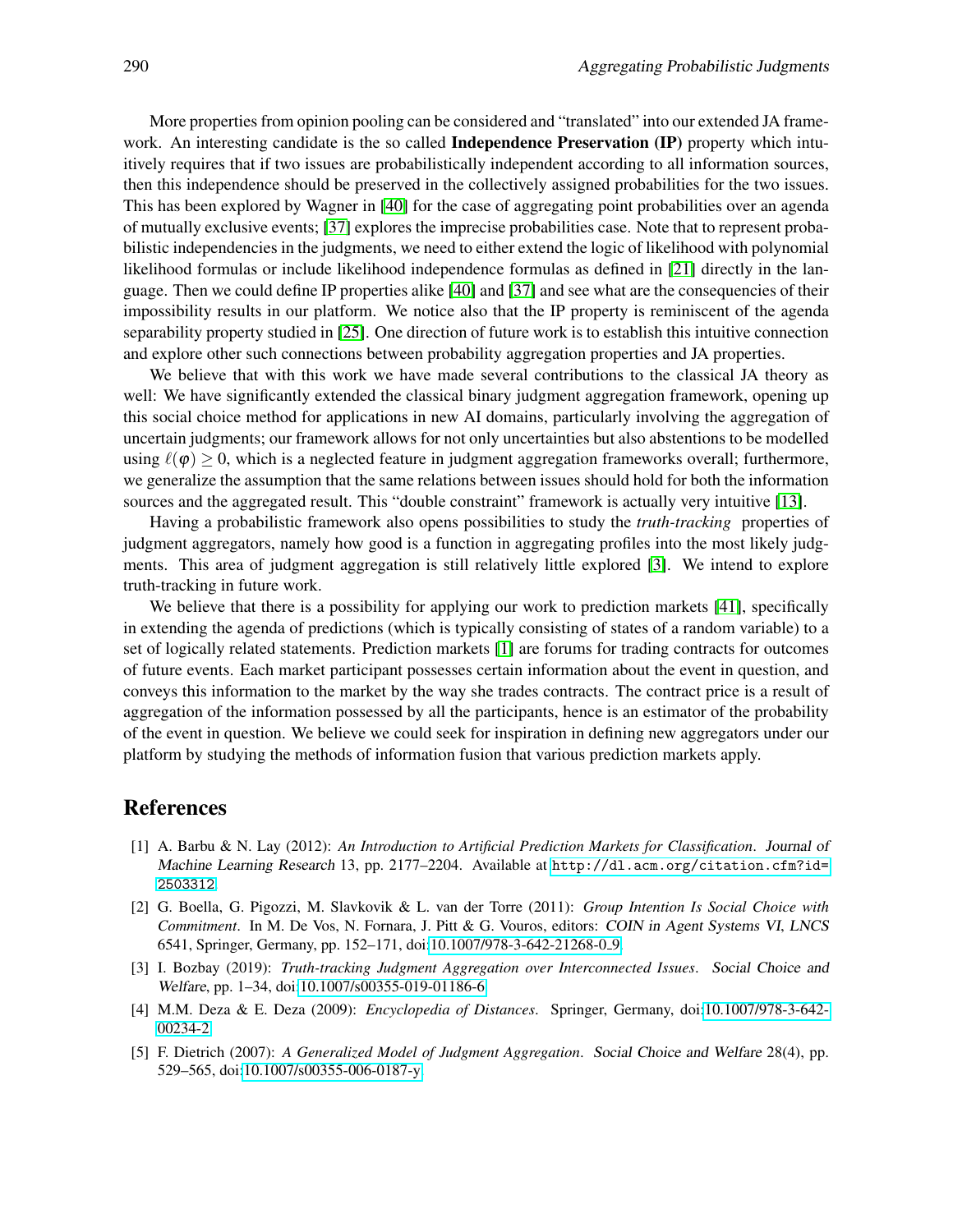More properties from opinion pooling can be considered and "translated" into our extended JA framework. An interesting candidate is the so called **Independence Preservation (IP)** property which intuitively requires that if two issues are probabilistically independent according to all information sources, then this independence should be preserved in the collectively assigned probabilities for the two issues. This has been explored by Wagner in [\[40\]](#page-19-16) for the case of aggregating point probabilities over an agenda of mutually exclusive events; [\[37\]](#page-19-5) explores the imprecise probabilities case. Note that to represent probabilistic independencies in the judgments, we need to either extend the logic of likelihood with polynomial likelihood formulas or include likelihood independence formulas as defined in [\[21\]](#page-18-17) directly in the language. Then we could define IP properties alike [\[40\]](#page-19-16) and [\[37\]](#page-19-5) and see what are the consequencies of their impossibility results in our platform. We notice also that the IP property is reminiscent of the agenda separability property studied in [\[25\]](#page-19-17). One direction of future work is to establish this intuitive connection and explore other such connections between probability aggregation properties and JA properties.

We believe that with this work we have made several contributions to the classical JA theory as well: We have significantly extended the classical binary judgment aggregation framework, opening up this social choice method for applications in new AI domains, particularly involving the aggregation of uncertain judgments; our framework allows for not only uncertainties but also abstentions to be modelled using  $\ell(\varphi) \geq 0$ , which is a neglected feature in judgment aggregation frameworks overall; furthermore, we generalize the assumption that the same relations between issues should hold for both the information sources and the aggregated result. This "double constraint" framework is actually very intuitive [\[13\]](#page-18-16).

Having a probabilistic framework also opens possibilities to study the *truth-tracking* properties of judgment aggregators, namely how good is a function in aggregating profiles into the most likely judgments. This area of judgment aggregation is still relatively little explored [\[3\]](#page-17-3). We intend to explore truth-tracking in future work.

We believe that there is a possibility for applying our work to prediction markets [\[41\]](#page-19-18), specifically in extending the agenda of predictions (which is typically consisting of states of a random variable) to a set of logically related statements. Prediction markets [\[1\]](#page-17-4) are forums for trading contracts for outcomes of future events. Each market participant possesses certain information about the event in question, and conveys this information to the market by the way she trades contracts. The contract price is a result of aggregation of the information possessed by all the participants, hence is an estimator of the probability of the event in question. We believe we could seek for inspiration in defining new aggregators under our platform by studying the methods of information fusion that various prediction markets apply.

### References

- <span id="page-17-4"></span>[1] A. Barbu & N. Lay (2012): *An Introduction to Artificial Prediction Markets for Classification*. Journal of Machine Learning Research 13, pp. 2177–2204. Available at [http://dl.acm.org/citation.cfm?id=](http://dl.acm.org/citation.cfm?id=2503312) [2503312](http://dl.acm.org/citation.cfm?id=2503312).
- <span id="page-17-0"></span>[2] G. Boella, G. Pigozzi, M. Slavkovik & L. van der Torre (2011): *Group Intention Is Social Choice with Commitment*. In M. De Vos, N. Fornara, J. Pitt & G. Vouros, editors: COIN in Agent Systems VI, LNCS 6541, Springer, Germany, pp. 152–171, doi[:10.1007/978-3-642-21268-0](http://dx.doi.org/10.1007/978-3-642-21268-0_9) 9.
- <span id="page-17-3"></span>[3] I. Bozbay (2019): *Truth-tracking Judgment Aggregation over Interconnected Issues*. Social Choice and Welfare, pp. 1–34, doi[:10.1007/s00355-019-01186-6.](http://dx.doi.org/10.1007/s00355-019-01186-6)
- <span id="page-17-1"></span>[4] M.M. Deza & E. Deza (2009): *Encyclopedia of Distances*. Springer, Germany, doi[:10.1007/978-3-642-](http://dx.doi.org/10.1007/978-3-642-00234-2) [00234-2.](http://dx.doi.org/10.1007/978-3-642-00234-2)
- <span id="page-17-2"></span>[5] F. Dietrich (2007): *A Generalized Model of Judgment Aggregation*. Social Choice and Welfare 28(4), pp. 529–565, doi[:10.1007/s00355-006-0187-y.](http://dx.doi.org/10.1007/s00355-006-0187-y)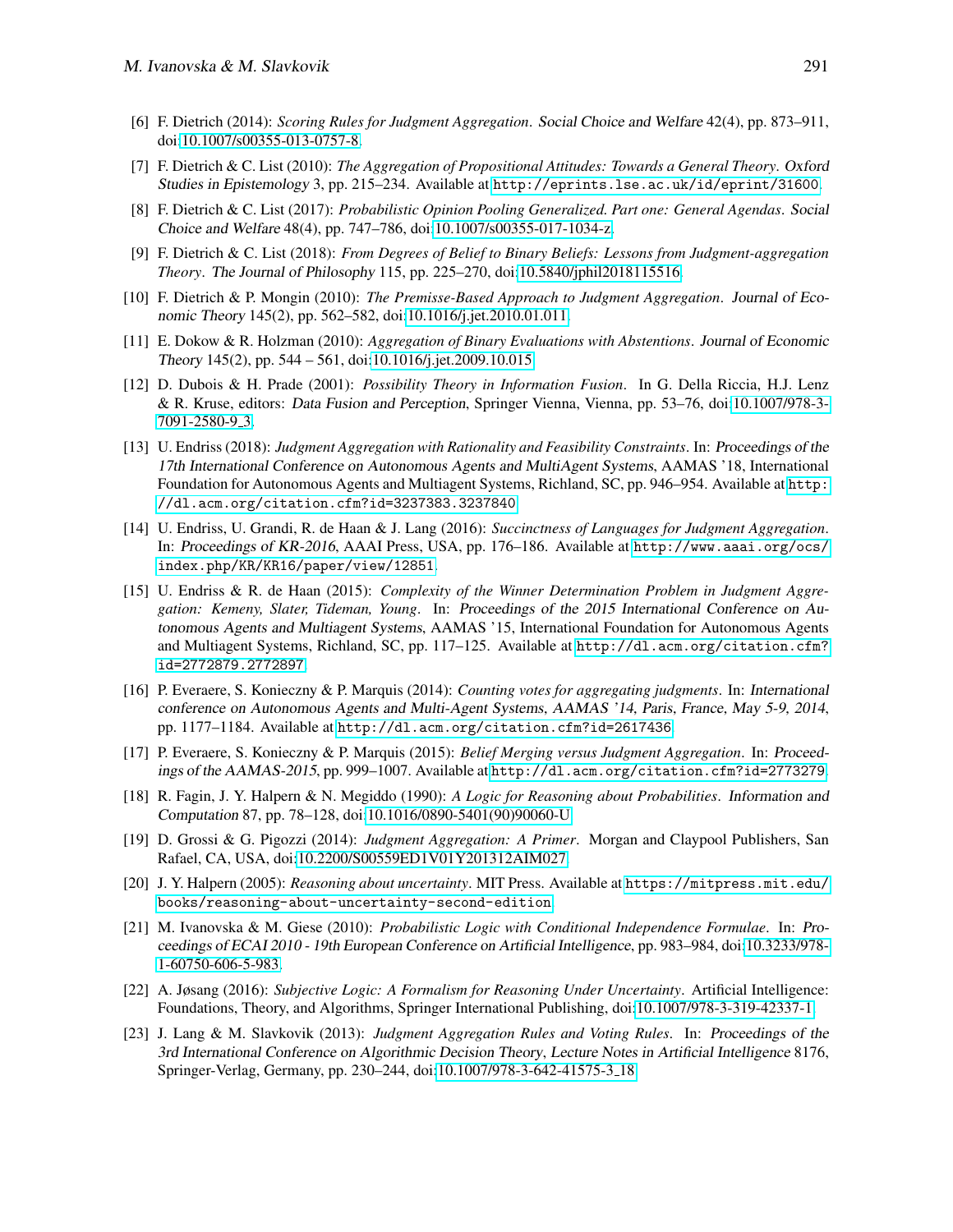- <span id="page-18-7"></span>[6] F. Dietrich (2014): *Scoring Rules for Judgment Aggregation*. Social Choice and Welfare 42(4), pp. 873–911, doi[:10.1007/s00355-013-0757-8.](http://dx.doi.org/10.1007/s00355-013-0757-8)
- <span id="page-18-3"></span>[7] F. Dietrich & C. List (2010): *The Aggregation of Propositional Attitudes: Towards a General Theory*. Oxford Studies in Epistemology 3, pp. 215–234. Available at <http://eprints.lse.ac.uk/id/eprint/31600>.
- <span id="page-18-9"></span>[8] F. Dietrich & C. List (2017): *Probabilistic Opinion Pooling Generalized. Part one: General Agendas*. Social Choice and Welfare 48(4), pp. 747–786, doi[:10.1007/s00355-017-1034-z.](http://dx.doi.org/10.1007/s00355-017-1034-z)
- <span id="page-18-10"></span>[9] F. Dietrich & C. List (2018): *From Degrees of Belief to Binary Beliefs: Lessons from Judgment-aggregation Theory*. The Journal of Philosophy 115, pp. 225–270, doi[:10.5840/jphil2018115516.](http://dx.doi.org/10.5840/jphil2018115516)
- <span id="page-18-8"></span>[10] F. Dietrich & P. Mongin (2010): *The Premisse-Based Approach to Judgment Aggregation*. Journal of Economic Theory 145(2), pp. 562–582, doi[:10.1016/j.jet.2010.01.011.](http://dx.doi.org/10.1016/j.jet.2010.01.011)
- <span id="page-18-12"></span>[11] E. Dokow & R. Holzman (2010): *Aggregation of Binary Evaluations with Abstentions*. Journal of Economic Theory 145(2), pp. 544 – 561, doi[:10.1016/j.jet.2009.10.015.](http://dx.doi.org/10.1016/j.jet.2009.10.015)
- <span id="page-18-13"></span>[12] D. Dubois & H. Prade (2001): *Possibility Theory in Information Fusion*. In G. Della Riccia, H.J. Lenz & R. Kruse, editors: Data Fusion and Perception, Springer Vienna, Vienna, pp. 53–76, doi[:10.1007/978-3-](http://dx.doi.org/10.1007/978-3-7091-2580-9_3) [7091-2580-9](http://dx.doi.org/10.1007/978-3-7091-2580-9_3) 3.
- <span id="page-18-16"></span>[13] U. Endriss (2018): *Judgment Aggregation with Rationality and Feasibility Constraints*. In: Proceedings of the 17th International Conference on Autonomous Agents and MultiAgent Systems, AAMAS '18, International Foundation for Autonomous Agents and Multiagent Systems, Richland, SC, pp. 946–954. Available at [http:](http://dl.acm.org/citation.cfm?id=3237383.3237840) [//dl.acm.org/citation.cfm?id=3237383.3237840](http://dl.acm.org/citation.cfm?id=3237383.3237840).
- <span id="page-18-1"></span>[14] U. Endriss, U. Grandi, R. de Haan & J. Lang (2016): *Succinctness of Languages for Judgment Aggregation*. In: Proceedings of KR-2016, AAAI Press, USA, pp. 176–186. Available at [http://www.aaai.org/ocs/](http://www.aaai.org/ocs/index.php/KR/KR16/paper/view/12851) [index.php/KR/KR16/paper/view/12851](http://www.aaai.org/ocs/index.php/KR/KR16/paper/view/12851).
- <span id="page-18-5"></span>[15] U. Endriss & R. de Haan (2015): *Complexity of the Winner Determination Problem in Judgment Aggregation: Kemeny, Slater, Tideman, Young*. In: Proceedings of the 2015 International Conference on Autonomous Agents and Multiagent Systems, AAMAS '15, International Foundation for Autonomous Agents and Multiagent Systems, Richland, SC, pp. 117–125. Available at [http://dl.acm.org/citation.cfm?](http://dl.acm.org/citation.cfm?id=2772879.2772897) [id=2772879.2772897](http://dl.acm.org/citation.cfm?id=2772879.2772897).
- <span id="page-18-6"></span>[16] P. Everaere, S. Konieczny & P. Marquis (2014): *Counting votes for aggregating judgments*. In: International conference on Autonomous Agents and Multi-Agent Systems, AAMAS '14, Paris, France, May 5-9, 2014, pp. 1177–1184. Available at <http://dl.acm.org/citation.cfm?id=2617436>.
- <span id="page-18-14"></span>[17] P. Everaere, S. Konieczny & P. Marquis (2015): *Belief Merging versus Judgment Aggregation*. In: Proceedings of the AAMAS-2015, pp. 999–1007. Available at <http://dl.acm.org/citation.cfm?id=2773279>.
- <span id="page-18-4"></span>[18] R. Fagin, J. Y. Halpern & N. Megiddo (1990): *A Logic for Reasoning about Probabilities*. Information and Computation 87, pp. 78–128, doi[:10.1016/0890-5401\(90\)90060-U.](http://dx.doi.org/10.1016/0890-5401(90)90060-U)
- <span id="page-18-0"></span>[19] D. Grossi & G. Pigozzi (2014): *Judgment Aggregation: A Primer*. Morgan and Claypool Publishers, San Rafael, CA, USA, doi[:10.2200/S00559ED1V01Y201312AIM027.](http://dx.doi.org/10.2200/S00559ED1V01Y201312AIM027)
- <span id="page-18-2"></span>[20] J. Y. Halpern (2005): *Reasoning about uncertainty*. MIT Press. Available at [https://mitpress.mit.edu/](https://mitpress.mit.edu/books/reasoning-about-uncertainty-second-edition) [books/reasoning-about-uncertainty-second-edition](https://mitpress.mit.edu/books/reasoning-about-uncertainty-second-edition).
- <span id="page-18-17"></span>[21] M. Ivanovska & M. Giese (2010): *Probabilistic Logic with Conditional Independence Formulae*. In: Proceedings of ECAI 2010 - 19th European Conference on Artificial Intelligence, pp. 983–984, doi[:10.3233/978-](http://dx.doi.org/10.3233/978-1-60750-606-5-983) [1-60750-606-5-983.](http://dx.doi.org/10.3233/978-1-60750-606-5-983)
- <span id="page-18-11"></span>[22] A. Jøsang (2016): *Subjective Logic: A Formalism for Reasoning Under Uncertainty*. Artificial Intelligence: Foundations, Theory, and Algorithms, Springer International Publishing, doi[:10.1007/978-3-319-42337-1.](http://dx.doi.org/10.1007/978-3-319-42337-1)
- <span id="page-18-15"></span>[23] J. Lang & M. Slavkovik (2013): *Judgment Aggregation Rules and Voting Rules*. In: Proceedings of the 3rd International Conference on Algorithmic Decision Theory, Lecture Notes in Artificial Intelligence 8176, Springer-Verlag, Germany, pp. 230–244, doi[:10.1007/978-3-642-41575-3](http://dx.doi.org/10.1007/978-3-642-41575-3_18) 18.